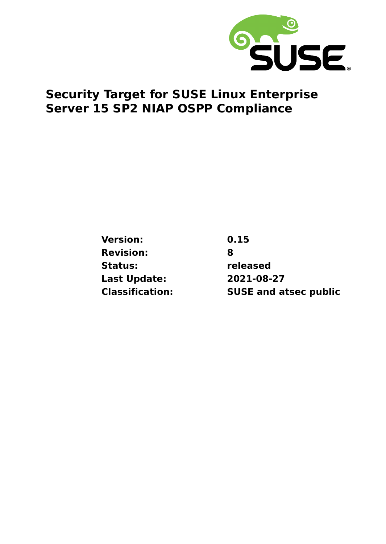

# **Security Target for SUSE Linux Enterprise Server 15 SP2 NIAP OSPP Compliance**

**Version: 0.15 Revision: 8 Status: released Last Update: 2021-08-27**

**Classification: SUSE and atsec public**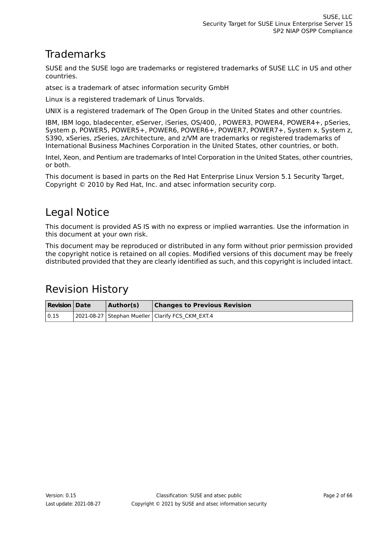# Trademarks

SUSE and the SUSE logo are trademarks or registered trademarks of SUSE LLC in US and other countries.

atsec is a trademark of atsec information security GmbH

Linux is a registered trademark of Linus Torvalds.

UNIX is a registered trademark of The Open Group in the United States and other countries.

IBM, IBM logo, bladecenter, eServer, iSeries, OS/400, , POWER3, POWER4, POWER4+, pSeries, System p, POWER5, POWER5+, POWER6, POWER6+, POWER7, POWER7+, System x, System z, S390, xSeries, zSeries, zArchitecture, and z/VM are trademarks or registered trademarks of International Business Machines Corporation in the United States, other countries, or both.

Intel, Xeon, and Pentium are trademarks of Intel Corporation in the United States, other countries, or both.

This document is based in parts on the Red Hat Enterprise Linux Version 5.1 Security Target, Copyright © 2010 by Red Hat, Inc. and atsec information security corp.

## Legal Notice

This document is provided AS IS with no express or implied warranties. Use the information in this document at your own risk.

This document may be reproduced or distributed in any form without prior permission provided the copyright notice is retained on all copies. Modified versions of this document may be freely distributed provided that they are clearly identified as such, and this copyright is included intact.

# Revision History

| <b>Revision Date</b> | $\vert$ Author(s) | <b>Changes to Previous Revision</b>                  |
|----------------------|-------------------|------------------------------------------------------|
| 0.15                 |                   | 2021-08-27   Stephan Mueller   Clarify FCS CKM EXT.4 |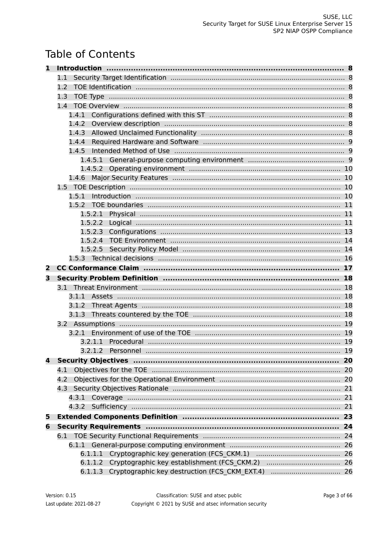# **Table of Contents**

| 1 |         |    |
|---|---------|----|
|   | 1.1     |    |
|   | 1.2     |    |
|   | 1.3     |    |
|   |         |    |
|   | 1.4.1   |    |
|   | 1.4.2   |    |
|   |         |    |
|   | 1.4.4   |    |
|   |         |    |
|   |         |    |
|   |         |    |
|   | 1.4.6   |    |
|   |         |    |
|   | 1.5.1   |    |
|   |         |    |
|   | 1.5.2.1 |    |
|   | 1.5.2.2 |    |
|   |         |    |
|   |         |    |
|   | 1.5.2.5 |    |
|   |         |    |
| 2 |         |    |
| 3 |         |    |
|   |         |    |
|   |         |    |
|   |         |    |
|   |         |    |
|   |         |    |
|   |         |    |
|   | 3.2.1.1 |    |
|   | 3.2.1.2 |    |
| 4 |         | 20 |
|   | 4.1     | 20 |
|   | 4.2     |    |
|   |         |    |
|   | 4.3.1   | 21 |
|   | 4.3.2   |    |
| 5 |         | 23 |
|   |         | 24 |
| 6 |         |    |
|   |         | 24 |
|   |         |    |
|   | 6.1.1.1 |    |
|   | 6.1.1.2 |    |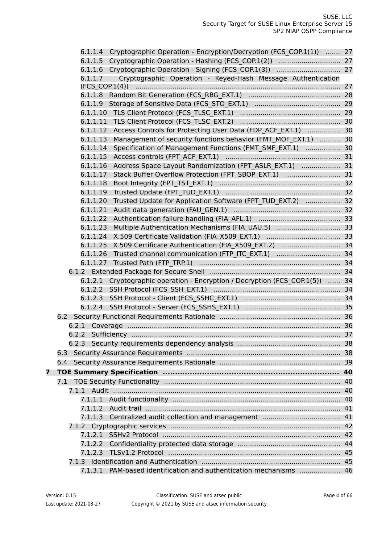|   |                | 6.1.1.4 Cryptographic Operation - Encryption/Decryption (FCS COP.1(1))  27   |     |
|---|----------------|------------------------------------------------------------------------------|-----|
|   |                |                                                                              |     |
|   |                |                                                                              |     |
|   | 6.1.1.7        | Cryptographic Operation - Keyed-Hash Message Authentication                  |     |
|   | (FCS COP.1(4)) |                                                                              |     |
|   | 6.1.1.8        |                                                                              |     |
|   |                |                                                                              |     |
|   |                |                                                                              |     |
|   | 6.1.1.11       |                                                                              |     |
|   | 6.1.1.12       | Access Controls for Protecting User Data (FDP ACF EXT.1)  30                 |     |
|   | 6.1.1.13       | Management of security functions behavior (FMT MOF EXT.1)  30                |     |
|   | 6.1.1.14       | Specification of Management Functions (FMT SMF EXT.1)  30                    |     |
|   | 6.1.1.15       |                                                                              |     |
|   | 6.1.1.16       | Address Space Layout Randomization (FPT ASLR EXT.1)  31                      |     |
|   | 6.1.1.17       | Stack Buffer Overflow Protection (FPT SBOP EXT.1)  31                        |     |
|   | 6.1.1.18       |                                                                              |     |
|   | 6.1.1.19       |                                                                              |     |
|   | 6.1.1.20       | Trusted Update for Application Software (FPT TUD EXT.2)  32                  |     |
|   | 6.1.1.21       |                                                                              |     |
|   | 6.1.1.22       |                                                                              |     |
|   | 6.1.1.23       |                                                                              |     |
|   | 6.1.1.24       |                                                                              |     |
|   | 6.1.1.25       |                                                                              |     |
|   | 6.1.1.26       |                                                                              |     |
|   | 6.1.1.27       |                                                                              |     |
|   |                |                                                                              |     |
|   |                | 6.1.2.1 Cryptographic operation - Encryption / Decryption (FCS COP.1(5))  34 |     |
|   |                |                                                                              |     |
|   |                |                                                                              |     |
|   |                |                                                                              |     |
|   |                |                                                                              |     |
|   |                |                                                                              |     |
|   |                |                                                                              | 37  |
|   |                |                                                                              |     |
|   | 6.3            |                                                                              |     |
|   | 6.4            |                                                                              | 39  |
| 7 |                |                                                                              | 40  |
|   | 7.1            |                                                                              | 40  |
|   |                |                                                                              | -40 |
|   | 7.1.1.1        |                                                                              | 40  |
|   | 7.1.1.2        |                                                                              | 41  |
|   |                |                                                                              |     |
|   |                |                                                                              | 42  |
|   | 7.1.2.1        |                                                                              | 42  |
|   | 7.1.2.2        |                                                                              | 44  |
|   | 7.1.2.3        |                                                                              |     |
|   | 7.1.3          |                                                                              |     |
|   | 7.1.3.1        | PAM-based identification and authentication mechanisms  46                   |     |
|   |                |                                                                              |     |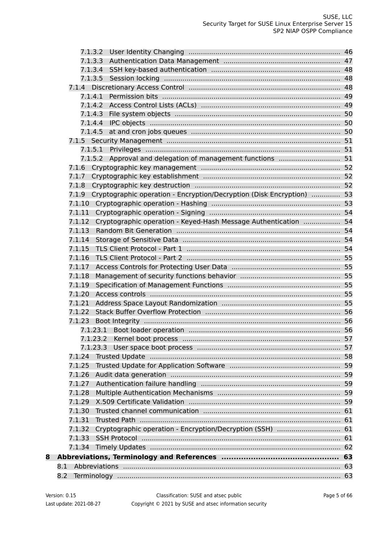|   | 7.1.3.2  |                                                                   |    |
|---|----------|-------------------------------------------------------------------|----|
|   | 7.1.3.3  |                                                                   |    |
|   | 7.1.3.4  |                                                                   |    |
|   | 7.1.3.5  |                                                                   | 48 |
|   |          |                                                                   |    |
|   | 7.1.4.1  |                                                                   | 49 |
|   | 7.1.4.2  |                                                                   | 49 |
|   |          |                                                                   |    |
|   |          |                                                                   |    |
|   | 7.1.4.5  |                                                                   |    |
|   |          |                                                                   | 51 |
|   | 7.1.5.1  |                                                                   |    |
|   | 7.1.5.2  | Approval and delegation of management functions                   | 51 |
|   | 7.1.6    |                                                                   |    |
|   | 7.1.7    |                                                                   |    |
|   | 7.1.8    |                                                                   | 52 |
|   | 7.1.9    | Cryptographic operation - Encryption/Decryption (Disk Encryption) | 53 |
|   | 7.1.10   |                                                                   |    |
|   | 7.1.11   |                                                                   | 54 |
|   | 7.1.12   | Cryptographic operation - Keyed-Hash Message Authentication  54   |    |
|   | 7.1.13   |                                                                   |    |
|   | 7.1.14   |                                                                   | 54 |
|   | 7.1.15   |                                                                   | 54 |
|   | 7.1.16   |                                                                   |    |
|   | 7.1.17   |                                                                   |    |
|   | 7.1.18   |                                                                   |    |
|   | 7.1.19   |                                                                   |    |
|   | 7.1.20   |                                                                   |    |
|   | 7.1.21   |                                                                   | 55 |
|   | 7.1.22   |                                                                   |    |
|   | 7.1.23   |                                                                   |    |
|   |          |                                                                   |    |
|   | 7.1.23.2 |                                                                   |    |
|   | 7.1.23.3 |                                                                   |    |
|   | 7.1.24   |                                                                   | 58 |
|   | 7.1.25   |                                                                   |    |
|   | 7.1.26   |                                                                   | 59 |
|   | 7.1.27   |                                                                   | 59 |
|   | 7.1.28   |                                                                   |    |
|   | 7.1.29   |                                                                   | 59 |
|   | 7.1.30   |                                                                   |    |
|   | 7.1.31   |                                                                   |    |
|   | 7.1.32   |                                                                   |    |
|   | 7.1.33   |                                                                   | 61 |
|   | 7.1.34   |                                                                   |    |
| 8 |          |                                                                   | 63 |
|   | 8.1      |                                                                   |    |
|   | 8.2      |                                                                   |    |
|   |          |                                                                   |    |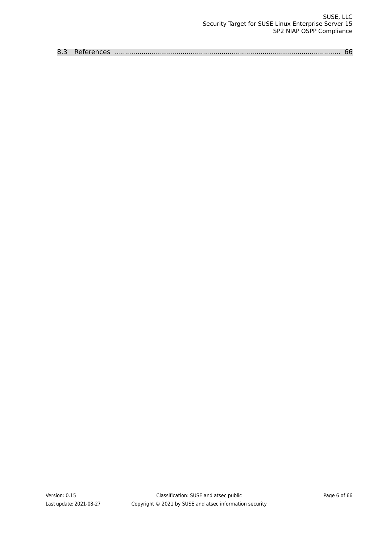#### SUSE, LLC Security Target for SUSE Linux Enterprise Server 15 SP2 NIAP OSPP Compliance

| 8.3 |  |  |  |
|-----|--|--|--|
|-----|--|--|--|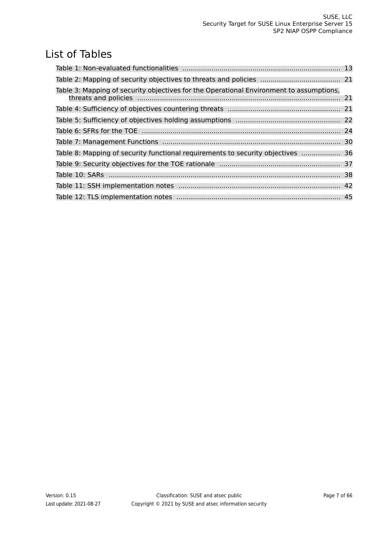# List of Tables

| Table 3: Mapping of security objectives for the Operational Environment to assumptions, |  |
|-----------------------------------------------------------------------------------------|--|
|                                                                                         |  |
|                                                                                         |  |
|                                                                                         |  |
|                                                                                         |  |
| Table 8: Mapping of security functional requirements to security objectives  36         |  |
|                                                                                         |  |
|                                                                                         |  |
|                                                                                         |  |
|                                                                                         |  |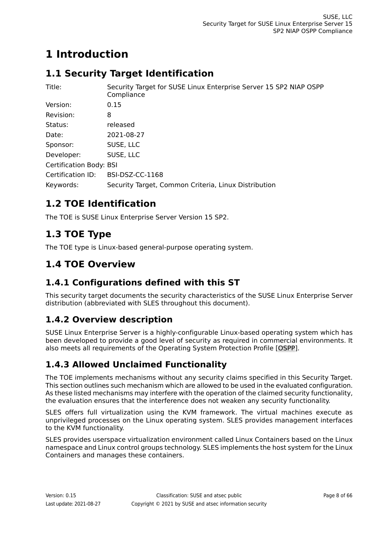# <span id="page-7-0"></span>**1 Introduction**

## <span id="page-7-1"></span>**1.1 Security Target Identification**

| Title:                  | Security Target for SUSE Linux Enterprise Server 15 SP2 NIAP OSPP<br>Compliance |
|-------------------------|---------------------------------------------------------------------------------|
| Version:                | 0.15                                                                            |
| Revision:               | 8                                                                               |
| Status:                 | released                                                                        |
| Date:                   | 2021-08-27                                                                      |
| Sponsor:                | SUSE, LLC                                                                       |
| Developer:              | SUSE, LLC                                                                       |
| Certification Body: BSI |                                                                                 |
| Certification ID:       | <b>BSI-DSZ-CC-1168</b>                                                          |
| Keywords:               | Security Target, Common Criteria, Linux Distribution                            |
|                         |                                                                                 |

## <span id="page-7-2"></span>**1.2 TOE Identification**

<span id="page-7-3"></span>The TOE is SUSE Linux Enterprise Server Version 15 SP2.

## <span id="page-7-4"></span>**1.3 TOE Type**

<span id="page-7-5"></span>The TOE type is Linux-based general-purpose operating system.

## **1.4 TOE Overview**

## **1.4.1 Configurations defined with this ST**

<span id="page-7-6"></span>This security target documents the security characteristics of the SUSE Linux Enterprise Server distribution (abbreviated with SLES throughout this document).

## **1.4.2 Overview description**

<span id="page-7-7"></span>SUSE Linux Enterprise Server is a highly-configurable Linux-based operating system which has been developed to provide a good level of security as required in commercial environments. It also meets all requirements of the Operating System Protection Profile [\[OSPP\]](#page-65-1).

## **1.4.3 Allowed Unclaimed Functionality**

The TOE implements mechanisms without any security claims specified in this Security Target. This section outlines such mechanism which are allowed to be used in the evaluated configuration. As these listed mechanisms may interfere with the operation of the claimed security functionality, the evaluation ensures that the interference does not weaken any security functionality.

SLES offers full virtualization using the KVM framework. The virtual machines execute as unprivileged processes on the Linux operating system. SLES provides management interfaces to the KVM functionality.

SLES provides userspace virtualization environment called Linux Containers based on the Linux namespace and Linux control groups technology. SLES implements the host system for the Linux Containers and manages these containers.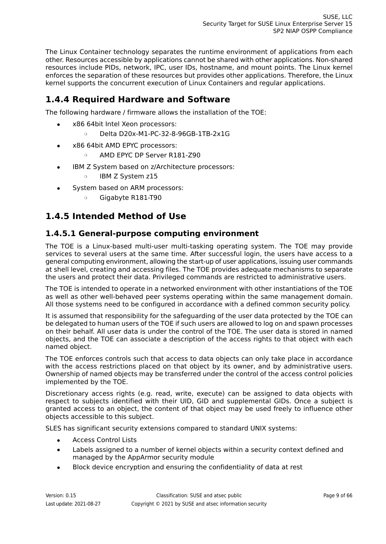The Linux Container technology separates the runtime environment of applications from each other. Resources accessible by applications cannot be shared with other applications. Non-shared resources include PIDs, network, IPC, user IDs, hostname, and mount points. The Linux kernel enforces the separation of these resources but provides other applications. Therefore, the Linux kernel supports the concurrent execution of Linux Containers and regular applications.

## <span id="page-8-0"></span>**1.4.4 Required Hardware and Software**

The following hardware / firmware allows the installation of the TOE:

- x86 64bit Intel Xeon processors:
	- ❍ Delta D20x-M1-PC-32-8-96GB-1TB-2x1G
- x86 64bit AMD EPYC processors:
	- ❍ AMD EPYC DP Server R181-Z90
- IBM Z System based on z/Architecture processors:
	- ❍ IBM Z System z15
- <span id="page-8-1"></span>System based on ARM processors:
	- ❍ Gigabyte R181-T90

## <span id="page-8-2"></span>**1.4.5 Intended Method of Use**

### **1.4.5.1 General-purpose computing environment**

The TOE is a Linux-based multi-user multi-tasking operating system. The TOE may provide services to several users at the same time. After successful login, the users have access to a general computing environment, allowing the start-up of user applications, issuing user commands at shell level, creating and accessing files. The TOE provides adequate mechanisms to separate the users and protect their data. Privileged commands are restricted to administrative users.

The TOE is intended to operate in a networked environment with other instantiations of the TOE as well as other well-behaved peer systems operating within the same management domain. All those systems need to be configured in accordance with a defined common security policy.

It is assumed that responsibility for the safeguarding of the user data protected by the TOE can be delegated to human users of the TOE if such users are allowed to log on and spawn processes on their behalf. All user data is under the control of the TOE. The user data is stored in named objects, and the TOE can associate a description of the access rights to that object with each named object.

The TOE enforces controls such that access to data objects can only take place in accordance with the access restrictions placed on that object by its owner, and by administrative users. Ownership of named objects may be transferred under the control of the access control policies implemented by the TOE.

Discretionary access rights (e.g. read, write, execute) can be assigned to data objects with respect to subjects identified with their UID, GID and supplemental GIDs. Once a subject is granted access to an object, the content of that object may be used freely to influence other objects accessible to this subject.

SLES has significant security extensions compared to standard UNIX systems:

- **Access Control Lists**
- Labels assigned to a number of kernel objects within a security context defined and managed by the AppArmor security module
- Block device encryption and ensuring the confidentiality of data at rest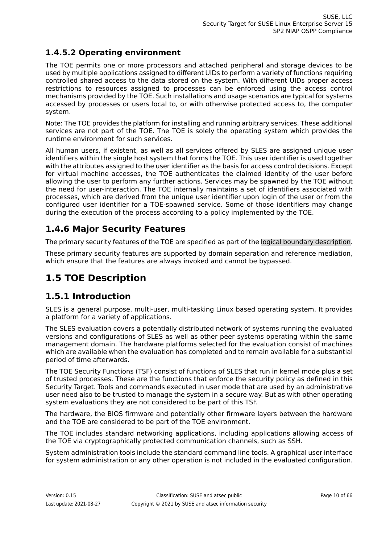## <span id="page-9-0"></span>**1.4.5.2 Operating environment**

The TOE permits one or more processors and attached peripheral and storage devices to be used by multiple applications assigned to different UIDs to perform a variety of functions requiring controlled shared access to the data stored on the system. With different UIDs proper access restrictions to resources assigned to processes can be enforced using the access control mechanisms provided by the TOE. Such installations and usage scenarios are typical for systems accessed by processes or users local to, or with otherwise protected access to, the computer system.

Note: The TOE provides the platform for installing and running arbitrary services. These additional services are not part of the TOE. The TOE is solely the operating system which provides the runtime environment for such services.

All human users, if existent, as well as all services offered by SLES are assigned unique user identifiers within the single host system that forms the TOE. This user identifier is used together with the attributes assigned to the user identifier as the basis for access control decisions. Except for virtual machine accesses, the TOE authenticates the claimed identity of the user before allowing the user to perform any further actions. Services may be spawned by the TOE without the need for user-interaction. The TOE internally maintains a set of identifiers associated with processes, which are derived from the unique user identifier upon login of the user or from the configured user identifier for a TOE-spawned service. Some of those identifiers may change during the execution of the process according to a policy implemented by the TOE.

## <span id="page-9-1"></span>**1.4.6 Major Security Features**

The primary security features of the TOE are specified as part of the logical boundary [description](#page-10-2).

<span id="page-9-2"></span>These primary security features are supported by domain separation and reference mediation, which ensure that the features are always invoked and cannot be bypassed.

## <span id="page-9-3"></span>**1.5 TOE Description**

## **1.5.1 Introduction**

SLES is a general purpose, multi-user, multi-tasking Linux based operating system. It provides a platform for a variety of applications.

The SLES evaluation covers a potentially distributed network of systems running the evaluated versions and configurations of SLES as well as other peer systems operating within the same management domain. The hardware platforms selected for the evaluation consist of machines which are available when the evaluation has completed and to remain available for a substantial period of time afterwards.

The TOE Security Functions (TSF) consist of functions of SLES that run in kernel mode plus a set of trusted processes. These are the functions that enforce the security policy as defined in this Security Target. Tools and commands executed in user mode that are used by an administrative user need also to be trusted to manage the system in a secure way. But as with other operating system evaluations they are not considered to be part of this TSF.

The hardware, the BIOS firmware and potentially other firmware layers between the hardware and the TOE are considered to be part of the TOE environment.

The TOE includes standard networking applications, including applications allowing access of the TOE via cryptographically protected communication channels, such as SSH.

System administration tools include the standard command line tools. A graphical user interface for system administration or any other operation is not included in the evaluated configuration.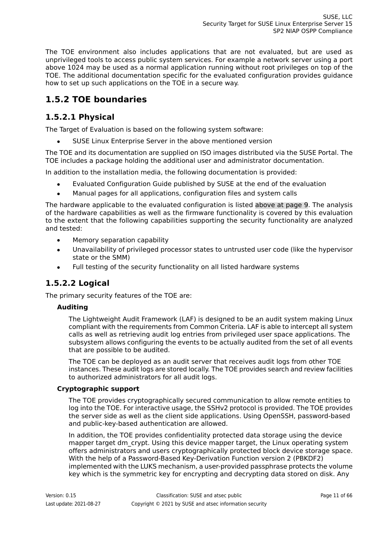The TOE environment also includes applications that are not evaluated, but are used as unprivileged tools to access public system services. For example a network server using a port above 1024 may be used as a normal application running without root privileges on top of the TOE. The additional documentation specific for the evaluated configuration provides guidance how to set up such applications on the TOE in a secure way.

## <span id="page-10-1"></span><span id="page-10-0"></span>**1.5.2 TOE boundaries**

## **1.5.2.1 Physical**

The Target of Evaluation is based on the following system software:

SUSE Linux Enterprise Server in the above mentioned version

The TOE and its documentation are supplied on ISO images distributed via the SUSE Portal. The TOE includes a package holding the additional user and administrator documentation.

In addition to the installation media, the following documentation is provided:

- Evaluated Configuration Guide published by SUSE at the end of the evaluation
- Manual pages for all applications, configuration files and system calls

The hardware applicable to the evaluated configuration is listed [above](#page-8-0) at page 9. The analysis of the hardware capabilities as well as the firmware functionality is covered by this evaluation to the extent that the following capabilities supporting the security functionality are analyzed and tested:

- Memory separation capability
- <span id="page-10-2"></span>Unavailability of privileged processor states to untrusted user code (like the hypervisor state or the SMM)
- Full testing of the security functionality on all listed hardware systems

## **1.5.2.2 Logical**

The primary security features of the TOE are:

### **Auditing**

The Lightweight Audit Framework (LAF) is designed to be an audit system making Linux compliant with the requirements from Common Criteria. LAF is able to intercept all system calls as well as retrieving audit log entries from privileged user space applications. The subsystem allows configuring the events to be actually audited from the set of all events that are possible to be audited.

The TOE can be deployed as an audit server that receives audit logs from other TOE instances. These audit logs are stored locally. The TOE provides search and review facilities to authorized administrators for all audit logs.

### **Cryptographic support**

The TOE provides cryptographically secured communication to allow remote entities to log into the TOE. For interactive usage, the SSHv2 protocol is provided. The TOE provides the server side as well as the client side applications. Using OpenSSH, password-based and public-key-based authentication are allowed.

In addition, the TOE provides confidentiality protected data storage using the device mapper target dm\_crypt. Using this device mapper target, the Linux operating system offers administrators and users cryptographically protected block device storage space. With the help of a Password-Based Key-Derivation Function version 2 (PBKDF2) implemented with the LUKS mechanism, a user-provided passphrase protects the volume key which is the symmetric key for encrypting and decrypting data stored on disk. Any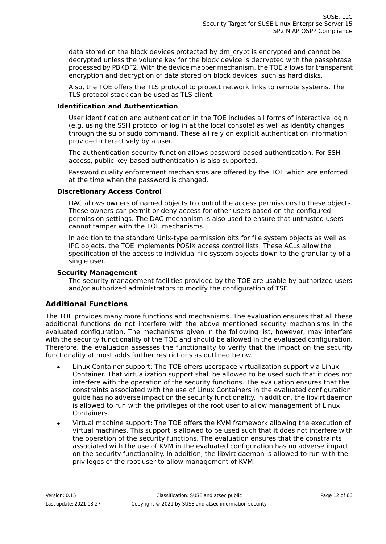data stored on the block devices protected by dm\_crypt is encrypted and cannot be decrypted unless the volume key for the block device is decrypted with the passphrase processed by PBKDF2. With the device mapper mechanism, the TOE allows for transparent encryption and decryption of data stored on block devices, such as hard disks.

Also, the TOE offers the TLS protocol to protect network links to remote systems. The TLS protocol stack can be used as TLS client.

### **Identification and Authentication**

User identification and authentication in the TOE includes all forms of interactive login (e.g. using the SSH protocol or log in at the local console) as well as identity changes through the su or sudo command. These all rely on explicit authentication information provided interactively by a user.

The authentication security function allows password-based authentication. For SSH access, public-key-based authentication is also supported.

Password quality enforcement mechanisms are offered by the TOE which are enforced at the time when the password is changed.

### **Discretionary Access Control**

DAC allows owners of named objects to control the access permissions to these objects. These owners can permit or deny access for other users based on the configured permission settings. The DAC mechanism is also used to ensure that untrusted users cannot tamper with the TOE mechanisms.

In addition to the standard Unix-type permission bits for file system objects as well as IPC objects, the TOE implements POSIX access control lists. These ACLs allow the specification of the access to individual file system objects down to the granularity of a single user.

### **Security Management**

The security management facilities provided by the TOE are usable by authorized users and/or authorized administrators to modify the configuration of TSF.

### **Additional Functions**

The TOE provides many more functions and mechanisms. The evaluation ensures that all these additional functions do not interfere with the above mentioned security mechanisms in the evaluated configuration. The mechanisms given in the following list, however, may interfere with the security functionality of the TOE and should be allowed in the evaluated configuration. Therefore, the evaluation assesses the functionality to verify that the impact on the security functionality at most adds further restrictions as outlined below.

- Linux Container support: The TOE offers userspace virtualization support via Linux Container. That virtualization support shall be allowed to be used such that it does not interfere with the operation of the security functions. The evaluation ensures that the constraints associated with the use of Linux Containers in the evaluated configuration guide has no adverse impact on the security functionality. In addition, the libvirt daemon is allowed to run with the privileges of the root user to allow management of Linux Containers.
- Virtual machine support: The TOE offers the KVM framework allowing the execution of virtual machines. This support is allowed to be used such that it does not interfere with the operation of the security functions. The evaluation ensures that the constraints associated with the use of KVM in the evaluated configuration has no adverse impact on the security functionality. In addition, the libvirt daemon is allowed to run with the privileges of the root user to allow management of KVM.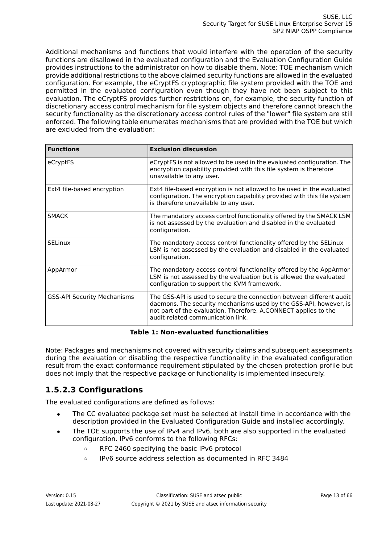Additional mechanisms and functions that would interfere with the operation of the security functions are disallowed in the evaluated configuration and the Evaluation Configuration Guide provides instructions to the administrator on how to disable them. Note: TOE mechanism which provide additional restrictions to the above claimed security functions are allowed in the evaluated configuration. For example, the eCryptFS cryptographic file system provided with the TOE and permitted in the evaluated configuration even though they have not been subject to this evaluation. The eCryptFS provides further restrictions on, for example, the security function of discretionary access control mechanism for file system objects and therefore cannot breach the security functionality as the discretionary access control rules of the "lower" file system are still enforced. The following table enumerates mechanisms that are provided with the TOE but which are excluded from the evaluation:

<span id="page-12-1"></span>

| <b>Functions</b>                   | <b>Exclusion discussion</b>                                                                                                                                                                                                                       |
|------------------------------------|---------------------------------------------------------------------------------------------------------------------------------------------------------------------------------------------------------------------------------------------------|
| eCryptFS                           | eCryptFS is not allowed to be used in the evaluated configuration. The<br>encryption capability provided with this file system is therefore<br>unavailable to any user.                                                                           |
| Ext4 file-based encryption         | Ext4 file-based encryption is not allowed to be used in the evaluated<br>configuration. The encryption capability provided with this file system<br>is therefore unavailable to any user.                                                         |
| <b>SMACK</b>                       | The mandatory access control functionality offered by the SMACK LSM<br>is not assessed by the evaluation and disabled in the evaluated<br>configuration.                                                                                          |
| <b>SELinux</b>                     | The mandatory access control functionality offered by the SELinux<br>LSM is not assessed by the evaluation and disabled in the evaluated<br>configuration.                                                                                        |
| AppArmor                           | The mandatory access control functionality offered by the AppArmor<br>LSM is not assessed by the evaluation but is allowed the evaluated<br>configuration to support the KVM framework.                                                           |
| <b>GSS-API Security Mechanisms</b> | The GSS-API is used to secure the connection between different audit<br>daemons. The security mechanisms used by the GSS-API, however, is<br>not part of the evaluation. Therefore, A.CONNECT applies to the<br>audit-related communication link. |

### **Table 1: Non-evaluated functionalities**

<span id="page-12-0"></span>Note: Packages and mechanisms not covered with security claims and subsequent assessments during the evaluation or disabling the respective functionality in the evaluated configuration result from the exact conformance requirement stipulated by the chosen protection profile but does not imply that the respective package or functionality is implemented insecurely.

## **1.5.2.3 Configurations**

The evaluated configurations are defined as follows:

- The CC evaluated package set must be selected at install time in accordance with the description provided in the Evaluated Configuration Guide and installed accordingly.
- The TOE supports the use of IPv4 and IPv6, both are also supported in the evaluated configuration. IPv6 conforms to the following RFCs:
	- ❍ RFC 2460 specifying the basic IPv6 protocol
	- ❍ IPv6 source address selection as documented in RFC 3484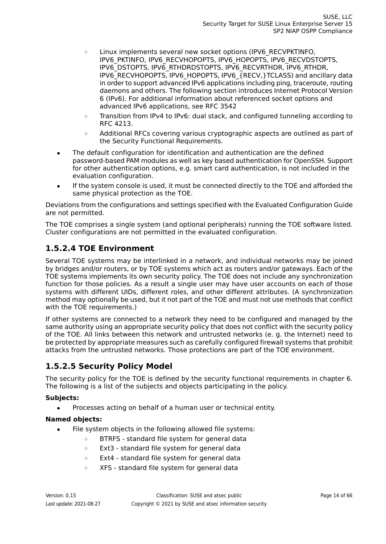- o Linux implements several new socket options (IPV6 RECVPKTINFO, IPV6\_PKTINFO, IPV6\_RECVHOPOPTS, IPV6\_HOPOPTS, IPV6\_RECVDSTOPTS, IPV6\_DSTOPTS, IPV6\_RTHDRDSTOPTS, IPV6\_RECVRTHDR, IPV6\_RTHDR, IPV6<sup>-</sup>RECVHOPOPTS, IPV6\_HOPOPTS, IPV6\_{RECV,}TCLASS) and ancillary data in order to support advanced IPv6 applications including ping, traceroute, routing daemons and others. The following section introduces Internet Protocol Version 6 (IPv6). For additional information about referenced socket options and advanced IPv6 applications, see RFC 3542
- ❍ Transition from IPv4 to IPv6: dual stack, and configured tunneling according to RFC 4213.
- ❍ Additional RFCs covering various cryptographic aspects are outlined as part of the Security Functional Requirements.
- The default configuration for identification and authentication are the defined password-based PAM modules as well as key based authentication for OpenSSH. Support for other authentication options, e.g. smart card authentication, is not included in the evaluation configuration.
- If the system console is used, it must be connected directly to the TOE and afforded the same physical protection as the TOE.

Deviations from the configurations and settings specified with the Evaluated Configuration Guide are not permitted.

<span id="page-13-0"></span>The TOE comprises a single system (and optional peripherals) running the TOE software listed. Cluster configurations are not permitted in the evaluated configuration.

## **1.5.2.4 TOE Environment**

Several TOE systems may be interlinked in a network, and individual networks may be joined by bridges and/or routers, or by TOE systems which act as routers and/or gateways. Each of the TOE systems implements its own security policy. The TOE does not include any synchronization function for those policies. As a result a single user may have user accounts on each of those systems with different UIDs, different roles, and other different attributes. (A synchronization method may optionally be used, but it not part of the TOE and must not use methods that conflict with the TOE requirements.)

<span id="page-13-1"></span>If other systems are connected to a network they need to be configured and managed by the same authority using an appropriate security policy that does not conflict with the security policy of the TOE. All links between this network and untrusted networks (e. g. the Internet) need to be protected by appropriate measures such as carefully configured firewall systems that prohibit attacks from the untrusted networks. Those protections are part of the TOE environment.

## **1.5.2.5 Security Policy Model**

The security policy for the TOE is defined by the security functional requirements in chapter 6. The following is a list of the subjects and objects participating in the policy.

### **Subjects:**

Processes acting on behalf of a human user or technical entity.

### **Named objects:**

- File system objects in the following allowed file systems:
	- ❍ BTRFS standard file system for general data
	- ❍ Ext3 standard file system for general data
	- ❍ Ext4 standard file system for general data
	- ❍ XFS standard file system for general data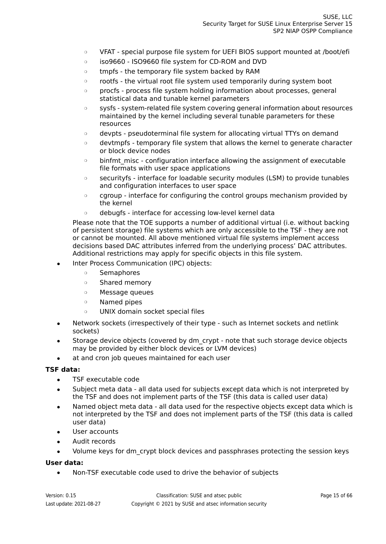- ❍ VFAT special purpose file system for UEFI BIOS support mounted at /boot/efi
- ❍ iso9660 ISO9660 file system for CD-ROM and DVD
- o tmpfs the temporary file system backed by RAM
- ❍ rootfs the virtual root file system used temporarily during system boot
- ❍ procfs process file system holding information about processes, general statistical data and tunable kernel parameters
- ❍ sysfs system-related file system covering general information about resources maintained by the kernel including several tunable parameters for these resources
- ❍ devpts pseudoterminal file system for allocating virtual TTYs on demand
- ❍ devtmpfs temporary file system that allows the kernel to generate character or block device nodes
- o binfmt misc configuration interface allowing the assignment of executable file formats with user space applications
- ❍ securityfs interface for loadable security modules (LSM) to provide tunables and configuration interfaces to user space
- ❍ cgroup interface for configuring the control groups mechanism provided by the kernel
- ❍ debugfs interface for accessing low-level kernel data

Please note that the TOE supports a number of additional virtual (i.e. without backing of persistent storage) file systems which are only accessible to the TSF - they are not or cannot be mounted. All above mentioned virtual file systems implement access decisions based DAC attributes inferred from the underlying process' DAC attributes. Additional restrictions may apply for specific objects in this file system.

- Inter Process Communication (IPC) objects:
	- ❍ Semaphores
	- ❍ Shared memory
	- o Message queues
	- ❍ Named pipes
	- ❍ UNIX domain socket special files
- Network sockets (irrespectively of their type such as Internet sockets and netlink sockets)
- Storage device objects (covered by dm\_crypt note that such storage device objects may be provided by either block devices or LVM devices)
- at and cron job queues maintained for each user

### **TSF data:**

- TSF executable code
- Subject meta data all data used for subjects except data which is not interpreted by the TSF and does not implement parts of the TSF (this data is called user data)
- Named object meta data all data used for the respective objects except data which is not interpreted by the TSF and does not implement parts of the TSF (this data is called user data)
- User accounts
- Audit records
- Volume keys for dm crypt block devices and passphrases protecting the session keys

### **User data:**

Non-TSF executable code used to drive the behavior of subjects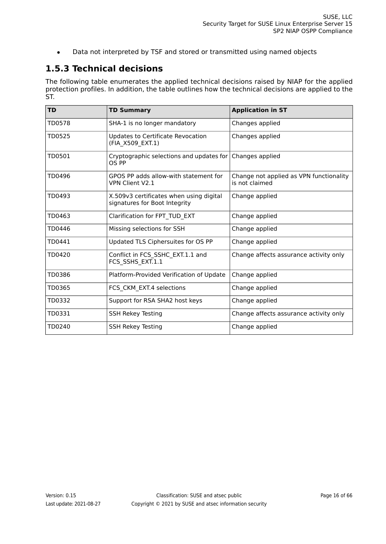• Data not interpreted by TSF and stored or transmitted using named objects

## <span id="page-15-0"></span>**1.5.3 Technical decisions**

The following table enumerates the applied technical decisions raised by NIAP for the applied protection profiles. In addition, the table outlines how the technical decisions are applied to the ST.

| <b>TD</b> | <b>TD Summary</b>                                                        | <b>Application in ST</b>                                  |
|-----------|--------------------------------------------------------------------------|-----------------------------------------------------------|
| TD0578    | SHA-1 is no longer mandatory                                             | Changes applied                                           |
| TD0525    | Updates to Certificate Revocation<br>(FIA_X509_EXT.1)                    | Changes applied                                           |
| TD0501    | Cryptographic selections and updates for<br>OS PP                        | Changes applied                                           |
| TD0496    | GPOS PP adds allow-with statement for<br>VPN Client V2.1                 | Change not applied as VPN functionality<br>is not claimed |
| TD0493    | X.509v3 certificates when using digital<br>signatures for Boot Integrity | Change applied                                            |
| TD0463    | Clarification for FPT_TUD_EXT                                            | Change applied                                            |
| TD0446    | Missing selections for SSH                                               | Change applied                                            |
| TD0441    | Updated TLS Ciphersuites for OS PP                                       | Change applied                                            |
| TD0420    | Conflict in FCS_SSHC_EXT.1.1 and<br>FCS_SSHS_EXT.1.1                     | Change affects assurance activity only                    |
| TD0386    | Platform-Provided Verification of Update                                 | Change applied                                            |
| TD0365    | FCS CKM EXT.4 selections                                                 | Change applied                                            |
| TD0332    | Support for RSA SHA2 host keys                                           | Change applied                                            |
| TD0331    | <b>SSH Rekey Testing</b>                                                 | Change affects assurance activity only                    |
| TD0240    | <b>SSH Rekey Testing</b>                                                 | Change applied                                            |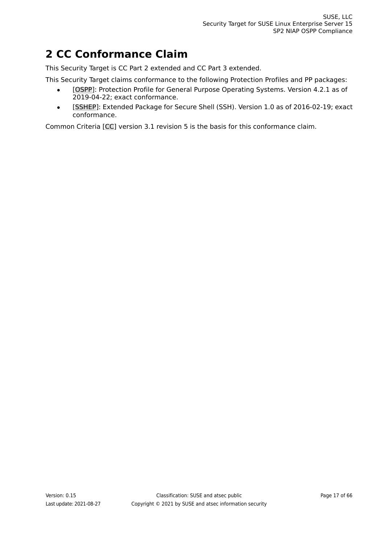# <span id="page-16-0"></span>**2 CC Conformance Claim**

This Security Target is CC Part 2 extended and CC Part 3 extended.

This Security Target claims conformance to the following Protection Profiles and PP packages:

- [\[OSPP\]:](#page-65-1) Protection Profile for General Purpose Operating Systems. Version 4.2.1 as of 2019-04-22; exact conformance.
- [\[SSHEP\]:](#page-65-2) Extended Package for Secure Shell (SSH). Version 1.0 as of 2016-02-19; exact conformance.

Common Criteria [\[CC\]](#page-65-3) version 3.1 revision 5 is the basis for this conformance claim.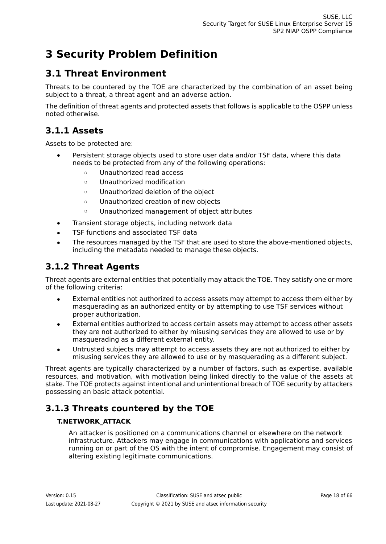# <span id="page-17-0"></span>**3 Security Problem Definition**

## <span id="page-17-1"></span>**3.1 Threat Environment**

Threats to be countered by the TOE are characterized by the combination of an asset being subject to a threat, a threat agent and an adverse action.

The definition of threat agents and protected assets that follows is applicable to the OSPP unless noted otherwise.

## <span id="page-17-2"></span>**3.1.1 Assets**

Assets to be protected are:

- Persistent storage objects used to store user data and/or TSF data, where this data needs to be protected from any of the following operations:
	- ❍ Unauthorized read access
	- ❍ Unauthorized modification
	- ❍ Unauthorized deletion of the object
	- ❍ Unauthorized creation of new objects
	- ❍ Unauthorized management of object attributes
- Transient storage objects, including network data
- TSF functions and associated TSF data
- <span id="page-17-3"></span>The resources managed by the TSF that are used to store the above-mentioned objects, including the metadata needed to manage these objects.

## **3.1.2 Threat Agents**

Threat agents are external entities that potentially may attack the TOE. They satisfy one or more of the following criteria:

- External entities not authorized to access assets may attempt to access them either by masquerading as an authorized entity or by attempting to use TSF services without proper authorization.
- External entities authorized to access certain assets may attempt to access other assets they are not authorized to either by misusing services they are allowed to use or by masquerading as a different external entity.
- Untrusted subjects may attempt to access assets they are not authorized to either by misusing services they are allowed to use or by masquerading as a different subject.

<span id="page-17-5"></span><span id="page-17-4"></span>Threat agents are typically characterized by a number of factors, such as expertise, available resources, and motivation, with motivation being linked directly to the value of the assets at stake. The TOE protects against intentional and unintentional breach of TOE security by attackers possessing an basic attack potential.

## **3.1.3 Threats countered by the TOE**

### **T.NETWORK\_ATTACK**

An attacker is positioned on a communications channel or elsewhere on the network infrastructure. Attackers may engage in communications with applications and services running on or part of the OS with the intent of compromise. Engagement may consist of altering existing legitimate communications.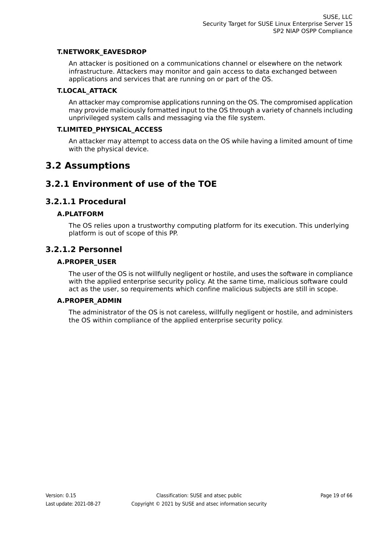### <span id="page-18-5"></span>**T.NETWORK\_EAVESDROP**

An attacker is positioned on a communications channel or elsewhere on the network infrastructure. Attackers may monitor and gain access to data exchanged between applications and services that are running on or part of the OS.

### <span id="page-18-4"></span>**T.LOCAL\_ATTACK**

An attacker may compromise applications running on the OS. The compromised application may provide maliciously formatted input to the OS through a variety of channels including unprivileged system calls and messaging via the file system.

### <span id="page-18-6"></span>**T.LIMITED\_PHYSICAL\_ACCESS**

An attacker may attempt to access data on the OS while having a limited amount of time with the physical device.

## <span id="page-18-1"></span><span id="page-18-0"></span>**3.2 Assumptions**

## <span id="page-18-2"></span>**3.2.1 Environment of use of the TOE**

### <span id="page-18-7"></span>**3.2.1.1 Procedural**

### <span id="page-18-3"></span>**A.PLATFORM**

The OS relies upon a trustworthy computing platform for its execution. This underlying platform is out of scope of this PP.

### <span id="page-18-8"></span>**3.2.1.2 Personnel**

### <span id="page-18-9"></span>**A.PROPER\_USER**

The user of the OS is not willfully negligent or hostile, and uses the software in compliance with the applied enterprise security policy. At the same time, malicious software could act as the user, so requirements which confine malicious subjects are still in scope.

### **A.PROPER\_ADMIN**

The administrator of the OS is not careless, willfully negligent or hostile, and administers the OS within compliance of the applied enterprise security policy.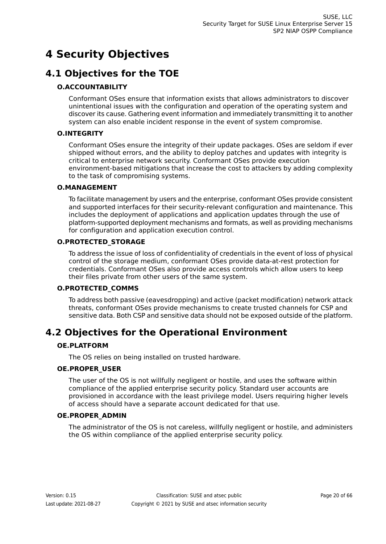# <span id="page-19-0"></span>**4 Security Objectives**

## <span id="page-19-1"></span>**4.1 Objectives for the TOE**

### <span id="page-19-3"></span>**O.ACCOUNTABILITY**

Conformant OSes ensure that information exists that allows administrators to discover unintentional issues with the configuration and operation of the operating system and discover its cause. Gathering event information and immediately transmitting it to another system can also enable incident response in the event of system compromise.

### <span id="page-19-4"></span>**O.INTEGRITY**

Conformant OSes ensure the integrity of their update packages. OSes are seldom if ever shipped without errors, and the ability to deploy patches and updates with integrity is critical to enterprise network security. Conformant OSes provide execution environment-based mitigations that increase the cost to attackers by adding complexity to the task of compromising systems.

### <span id="page-19-5"></span>**O.MANAGEMENT**

To facilitate management by users and the enterprise, conformant OSes provide consistent and supported interfaces for their security-relevant configuration and maintenance. This includes the deployment of applications and application updates through the use of platform-supported deployment mechanisms and formats, as well as providing mechanisms for configuration and application execution control.

### <span id="page-19-6"></span>**O.PROTECTED\_STORAGE**

<span id="page-19-7"></span>To address the issue of loss of confidentiality of credentials in the event of loss of physical control of the storage medium, conformant OSes provide data-at-rest protection for credentials. Conformant OSes also provide access controls which allow users to keep their files private from other users of the same system.

### <span id="page-19-2"></span>**O.PROTECTED\_COMMS**

To address both passive (eavesdropping) and active (packet modification) network attack threats, conformant OSes provide mechanisms to create trusted channels for CSP and sensitive data. Both CSP and sensitive data should not be exposed outside of the platform.

## <span id="page-19-9"></span><span id="page-19-8"></span>**4.2 Objectives for the Operational Environment**

### **OE.PLATFORM**

The OS relies on being installed on trusted hardware.

### <span id="page-19-10"></span>**OE.PROPER\_USER**

The user of the OS is not willfully negligent or hostile, and uses the software within compliance of the applied enterprise security policy. Standard user accounts are provisioned in accordance with the least privilege model. Users requiring higher levels of access should have a separate account dedicated for that use.

### **OE.PROPER\_ADMIN**

The administrator of the OS is not careless, willfully negligent or hostile, and administers the OS within compliance of the applied enterprise security policy.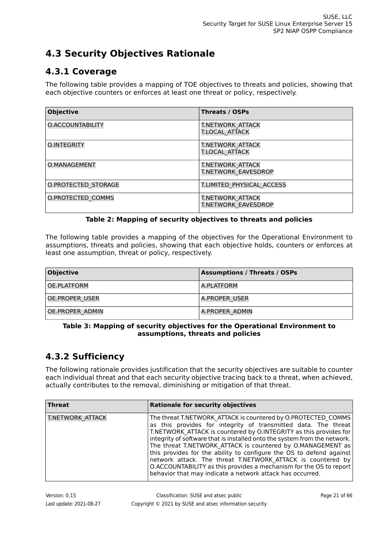## <span id="page-20-0"></span>**4.3 Security Objectives Rationale**

## <span id="page-20-1"></span>**4.3.1 Coverage**

The following table provides a mapping of TOE objectives to threats and policies, showing that each objective counters or enforces at least one threat or policy, respectively.

<span id="page-20-3"></span>

| <b>Objective</b>           | Threats / OSPs                                   |
|----------------------------|--------------------------------------------------|
| <b>O.ACCOUNTABILITY</b>    | <b>T.NETWORK ATTACK</b><br><b>T.LOCAL ATTACK</b> |
| O.INTEGRITY                | T.NETWORK ATTACK<br><b>T.LOCAL ATTACK</b>        |
| O.MANAGEMENT               | <b>T.NETWORK ATTACK</b><br>T.NETWORK EAVESDROP   |
| <b>O.PROTECTED STORAGE</b> | T.LIMITED PHYSICAL ACCESS                        |
| <b>O.PROTECTED COMMS</b>   | T.NETWORK ATTACK<br>T.NETWORK EAVESDROP          |

### **Table 2: Mapping of security objectives to threats and policies**

The following table provides a mapping of the objectives for the Operational Environment to assumptions, threats and policies, showing that each objective holds, counters or enforces at least one assumption, threat or policy, respectively.

<span id="page-20-4"></span>

| Objective              | <b>Assumptions / Threats / OSPs</b> |
|------------------------|-------------------------------------|
| OE.PLATFORM            | A.PLATFORM                          |
| OE.PROPER USER         | A.PROPER USER                       |
| <b>OE.PROPER ADMIN</b> | A.PROPER ADMIN                      |

### <span id="page-20-2"></span>**Table 3: Mapping of security objectives for the Operational Environment to assumptions, threats and policies**

## **4.3.2 Sufficiency**

<span id="page-20-5"></span>The following rationale provides justification that the security objectives are suitable to counter each individual threat and that each security objective tracing back to a threat, when achieved, actually contributes to the removal, diminishing or mitigation of that threat.

| <b>Threat</b>           | <b>Rationale for security objectives</b>                                                                                                                                                                                                                                                                                                                                                                                                                                                                                                                                                                                  |
|-------------------------|---------------------------------------------------------------------------------------------------------------------------------------------------------------------------------------------------------------------------------------------------------------------------------------------------------------------------------------------------------------------------------------------------------------------------------------------------------------------------------------------------------------------------------------------------------------------------------------------------------------------------|
| <b>T.NETWORK ATTACK</b> | The threat T.NETWORK ATTACK is countered by O.PROTECTED COMMS<br>as this provides for integrity of transmitted data. The threat<br>T.NETWORK ATTACK is countered by O.INTEGRITY as this provides for<br>integrity of software that is installed onto the system from the network.<br>The threat T.NETWORK ATTACK is countered by O.MANAGEMENT as<br>this provides for the ability to configure the OS to defend against<br>network attack. The threat T.NETWORK ATTACK is countered by<br>O.ACCOUNTABILITY as this provides a mechanism for the OS to report<br>behavior that may indicate a network attack has occurred. |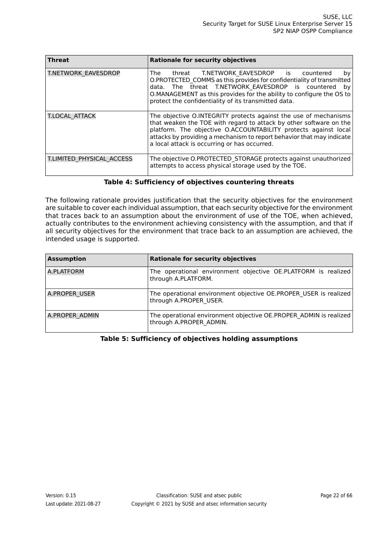| <b>Threat</b>              | <b>Rationale for security objectives</b>                                                                                                                                                                                                                                                                                           |
|----------------------------|------------------------------------------------------------------------------------------------------------------------------------------------------------------------------------------------------------------------------------------------------------------------------------------------------------------------------------|
| <b>T.NETWORK EAVESDROP</b> | threat T.NETWORK EAVESDROP is countered<br>The<br>by<br>O.PROTECTED COMMS as this provides for confidentiality of transmitted<br>data. The threat T.NETWORK EAVESDROP is countered<br>bv<br>O.MANAGEMENT as this provides for the ability to configure the OS to<br>protect the confidentiality of its transmitted data.           |
| <b>T.LOCAL ATTACK</b>      | The objective O.INTEGRITY protects against the use of mechanisms<br>that weaken the TOE with regard to attack by other software on the<br>platform. The objective O.ACCOUNTABILITY protects against local<br>attacks by providing a mechanism to report behavior that may indicate<br>a local attack is occurring or has occurred. |
| T.LIMITED PHYSICAL ACCESS  | The objective O.PROTECTED STORAGE protects against unauthorized<br>attempts to access physical storage used by the TOE.                                                                                                                                                                                                            |

### **Table 4: Sufficiency of objectives countering threats**

The following rationale provides justification that the security objectives for the environment are suitable to cover each individual assumption, that each security objective for the environment that traces back to an assumption about the environment of use of the TOE, when achieved, actually contributes to the environment achieving consistency with the assumption, and that if all security objectives for the environment that trace back to an assumption are achieved, the intended usage is supported.

<span id="page-21-0"></span>

| <b>Assumption</b> | <b>Rationale for security objectives</b>                                                     |
|-------------------|----------------------------------------------------------------------------------------------|
| A.PLATFORM        | The operational environment objective OE.PLATFORM is realized<br>through A.PLATFORM.         |
| A.PROPER USER     | The operational environment objective OE.PROPER USER is realized<br>through A.PROPER USER.   |
| A.PROPER ADMIN    | The operational environment objective OE.PROPER ADMIN is realized<br>through A.PROPER ADMIN. |

### **Table 5: Sufficiency of objectives holding assumptions**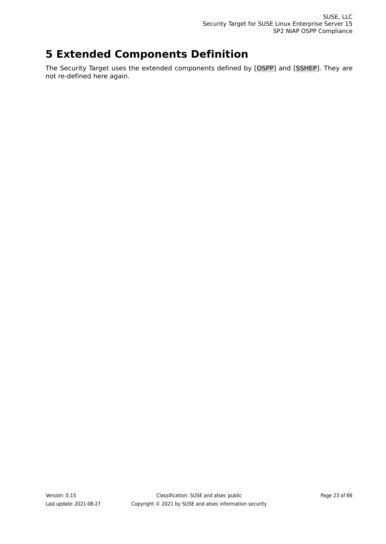# <span id="page-22-0"></span>**5 Extended Components Definition**

The Security Target uses the extended components defined by [\[OSPP\]](#page-65-1) and [\[SSHEP\].](#page-65-2) They are not re-defined here again.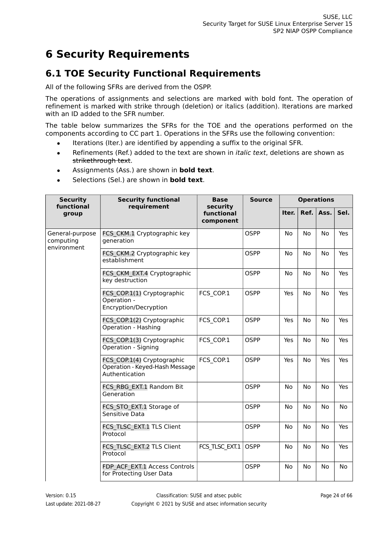# <span id="page-23-0"></span>**6 Security Requirements**

## <span id="page-23-1"></span>**6.1 TOE Security Functional Requirements**

All of the following SFRs are derived from the OSPP.

The operations of assignments and selections are marked with bold font. The operation of refinement is marked with strike through (deletion) or italics (addition). Iterations are marked with an ID added to the SFR number.

The table below summarizes the SFRs for the TOE and the operations performed on the components according to CC part 1. Operations in the SFRs use the following convention:

- Iterations (Iter.) are identified by appending a suffix to the original SFR.
- Refinements (Ref.) added to the text are shown in *italic text*, deletions are shown as strikethrough text.
- Assignments (Ass.) are shown in **bold text**.
- Selections (Sel.) are shown in **bold text**.

<span id="page-23-2"></span>

| <b>Security</b><br>functional               | <b>Security functional</b><br>requirement                                      | <b>Base</b><br>security |             | <b>Operations</b> |           |           |            |
|---------------------------------------------|--------------------------------------------------------------------------------|-------------------------|-------------|-------------------|-----------|-----------|------------|
| group                                       |                                                                                | functional<br>component |             | Iter.             | Ref.      | Ass.      | Sel.       |
| General-purpose<br>computing<br>environment | FCS CKM.1 Cryptographic key<br>generation                                      |                         | <b>OSPP</b> | No                | <b>No</b> | <b>No</b> | Yes        |
|                                             | FCS CKM.2 Cryptographic key<br>establishment                                   |                         | <b>OSPP</b> | No                | No        | No        | Yes        |
|                                             | FCS_CKM_EXT.4 Cryptographic<br>key destruction                                 |                         | <b>OSPP</b> | No                | No        | No        | Yes        |
|                                             | FCS COP.1(1) Cryptographic<br>Operation -<br>Encryption/Decryption             | FCS COP.1               | <b>OSPP</b> | <b>Yes</b>        | <b>No</b> | <b>No</b> | Yes        |
|                                             | FCS_COP.1(2) Cryptographic<br>Operation - Hashing                              | FCS COP.1               | <b>OSPP</b> | Yes               | <b>No</b> | <b>No</b> | Yes        |
|                                             | FCS_COP.1(3) Cryptographic<br>Operation - Signing                              | FCS_COP.1               | <b>OSPP</b> | Yes               | <b>No</b> | No        | Yes        |
|                                             | FCS COP.1(4) Cryptographic<br>Operation - Keyed-Hash Message<br>Authentication | FCS COP.1               | <b>OSPP</b> | Yes               | <b>No</b> | Yes       | <b>Yes</b> |
|                                             | FCS RBG EXT.1 Random Bit<br>Generation                                         |                         | <b>OSPP</b> | No                | <b>No</b> | <b>No</b> | Yes        |
|                                             | FCS STO EXT.1 Storage of<br>Sensitive Data                                     |                         | <b>OSPP</b> | No                | <b>No</b> | <b>No</b> | No         |
|                                             | FCS TLSC EXT.1 TLS Client<br>Protocol                                          |                         | <b>OSPP</b> | No                | No        | No        | Yes        |
|                                             | FCS TLSC EXT.2 TLS Client<br>Protocol                                          | FCS TLSC EXT.1          | <b>OSPP</b> | No                | No        | No        | Yes        |
|                                             | FDP ACF EXT.1 Access Controls<br>for Protecting User Data                      |                         | <b>OSPP</b> | No                | <b>No</b> | No        | No         |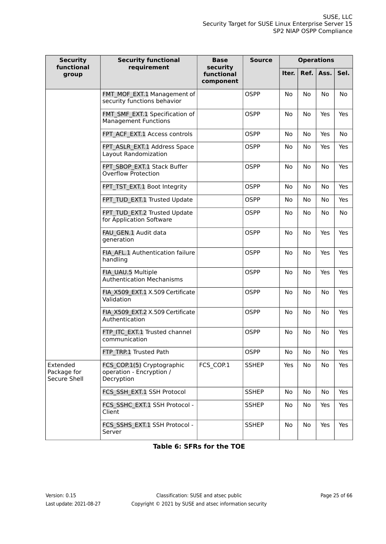| <b>Security</b><br>functional           | <b>Security functional</b>                                           | <b>Source</b><br><b>Base</b>        |              | <b>Operations</b> |      |           |      |
|-----------------------------------------|----------------------------------------------------------------------|-------------------------------------|--------------|-------------------|------|-----------|------|
| group                                   | requirement                                                          | security<br>functional<br>component |              | Iter.             | Ref. | Ass.      | Sel. |
|                                         | FMT MOF EXT.1 Management of<br>security functions behavior           |                                     | <b>OSPP</b>  | No                | No   | No        | No   |
|                                         | FMT_SMF_EXT.1 Specification of<br><b>Management Functions</b>        |                                     | <b>OSPP</b>  | No                | No   | Yes       | Yes  |
|                                         | FPT ACF EXT.1 Access controls                                        |                                     | <b>OSPP</b>  | No                | No   | Yes       | No   |
|                                         | FPT ASLR EXT.1 Address Space<br>Layout Randomization                 |                                     | <b>OSPP</b>  | No                | No   | Yes       | Yes  |
|                                         | FPT SBOP EXT.1 Stack Buffer<br><b>Overflow Protection</b>            |                                     | <b>OSPP</b>  | No                | No   | No        | Yes  |
|                                         | FPT_TST_EXT.1 Boot Integrity                                         |                                     | <b>OSPP</b>  | No                | No   | No        | Yes  |
|                                         | FPT TUD EXT.1 Trusted Update                                         |                                     | <b>OSPP</b>  | No                | No   | <b>No</b> | Yes  |
|                                         | FPT TUD EXT.2 Trusted Update<br>for Application Software             |                                     | <b>OSPP</b>  | No                | No   | No        | No   |
|                                         | FAU GEN.1 Audit data<br>generation                                   |                                     | <b>OSPP</b>  | No                | No   | Yes       | Yes  |
|                                         | FIA AFL.1 Authentication failure<br>handling                         |                                     | <b>OSPP</b>  | No                | No   | Yes       | Yes  |
|                                         | FIA UAU.5 Multiple<br>Authentication Mechanisms                      |                                     | <b>OSPP</b>  | No                | No   | Yes       | Yes  |
|                                         | FIA X509_EXT.1 X.509 Certificate<br>Validation                       |                                     | <b>OSPP</b>  | No                | No   | No        | Yes  |
|                                         | FIA X509 EXT.2 X.509 Certificate<br>Authentication                   |                                     | <b>OSPP</b>  | No                | No   | No        | Yes  |
|                                         | FTP ITC EXT.1 Trusted channel<br>communication                       |                                     | <b>OSPP</b>  | No                | No   | No        | Yes  |
|                                         | FTP TRP.1 Trusted Path                                               |                                     | <b>OSPP</b>  | No                | No   | No        | Yes  |
| Extended<br>Package for<br>Secure Shell | FCS_COP.1(5) Cryptographic<br>operation - Encryption /<br>Decryption | FCS_COP.1                           | <b>SSHEP</b> | Yes               | No   | No        | Yes  |
|                                         | FCS SSH EXT.1 SSH Protocol                                           |                                     | <b>SSHEP</b> | No                | No   | No        | Yes  |
|                                         | FCS SSHC EXT.1 SSH Protocol -<br>Client                              |                                     | <b>SSHEP</b> | No                | No   | Yes       | Yes  |
|                                         | FCS SSHS EXT.1 SSH Protocol -<br>Server                              |                                     | <b>SSHEP</b> | No                | No   | Yes       | Yes  |

### **Table 6: SFRs for the TOE**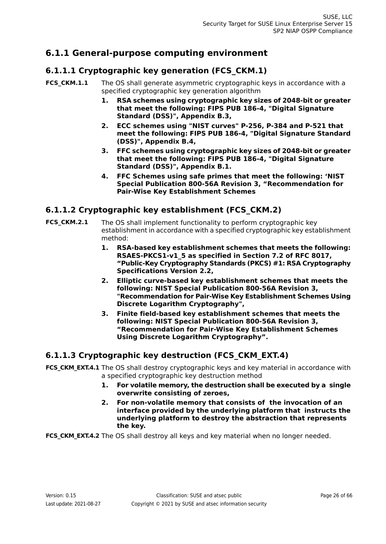## <span id="page-25-0"></span>**6.1.1 General-purpose computing environment**

## <span id="page-25-1"></span>**6.1.1.1 Cryptographic key generation (FCS\_CKM.1)**

- The OS shall generate asymmetric cryptographic keys in accordance with a specified cryptographic key generation algorithm **FCS\_CKM.1.1**
	- **1. RSA schemes using cryptographic key sizes of 2048-bit or greater that meet the following: FIPS PUB 186-4, "Digital Signature Standard (DSS)", Appendix B.3,**
	- **2. ECC schemes using "NIST curves" P-256, P-384 and P-521 that meet the following: FIPS PUB 186-4, "Digital Signature Standard (DSS)", Appendix B.4,**
	- **3. FFC schemes using cryptographic key sizes of 2048-bit or greater that meet the following: FIPS PUB 186-4, "Digital Signature Standard (DSS)", Appendix B.1.**
	- **4. FFC Schemes using safe primes that meet the following: 'NIST Special Publication 800-56A Revision 3, "Recommendation for Pair-Wise Key Establishment Schemes**

### <span id="page-25-2"></span>**6.1.1.2 Cryptographic key establishment (FCS\_CKM.2)**

- The OS shall implement functionality to perform cryptographic key establishment in accordance with a specified cryptographic key establishment method: **FCS\_CKM.2.1**
	- **1. RSA-based key establishment schemes that meets the following: RSAES-PKCS1-v1\_5 as specified in Section 7.2 of RFC 8017, "Public-Key Cryptography Standards (PKCS) #1: RSA Cryptography Specifications Version 2.2,**
	- **2. Elliptic curve-based key establishment schemes that meets the following: NIST Special Publication 800-56A Revision 3, "Recommendation for Pair-Wise Key Establishment Schemes Using Discrete Logarithm Cryptography",**
	- **3. Finite field-based key establishment schemes that meets the following: NIST Special Publication 800-56A Revision 3, "Recommendation for Pair-Wise Key Establishment Schemes Using Discrete Logarithm Cryptography".**

## <span id="page-25-3"></span>**6.1.1.3 Cryptographic key destruction (FCS\_CKM\_EXT.4)**

**FCS\_CKM\_EXT.4.1** The OS shall destroy cryptographic keys and key material in accordance with a specified cryptographic key destruction method

- **1. For volatile memory, the destruction shall be executed by a single overwrite consisting of zeroes,**
- **2. For non-volatile memory that consists of the invocation of an interface provided by the underlying platform that instructs the underlying platform to destroy the abstraction that represents the key.**

**FCS\_CKM\_EXT.4.2** The OS shall destroy all keys and key material when no longer needed.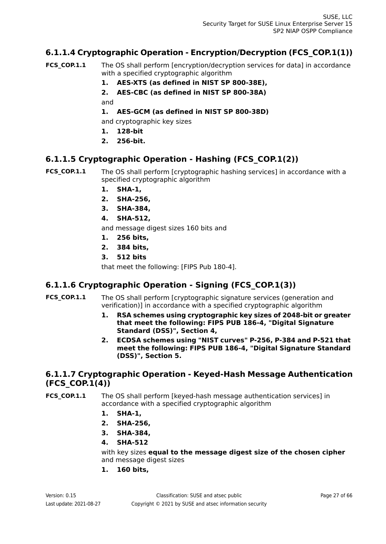## <span id="page-26-0"></span>**6.1.1.4 Cryptographic Operation - Encryption/Decryption (FCS\_COP.1(1))**

- The OS shall perform [encryption/decryption services for data] in accordance with a specified cryptographic algorithm **FCS\_COP.1.1**
	- **1. AES-XTS (as defined in NIST SP 800-38E),**
	- **2. AES-CBC (as defined in NIST SP 800-38A)** and
	- **1. AES-GCM (as defined in NIST SP 800-38D)**

and cryptographic key sizes

- **1. 128-bit**
- **2. 256-bit.**

### <span id="page-26-1"></span>**6.1.1.5 Cryptographic Operation - Hashing (FCS\_COP.1(2))**

- The OS shall perform [cryptographic hashing services] in accordance with a specified cryptographic algorithm **FCS\_COP.1.1**
	- **1. SHA-1,**
	- **2. SHA-256,**
	- **3. SHA-384,**
	- **4. SHA-512,**

and message digest sizes 160 bits and

- **1. 256 bits,**
- **2. 384 bits,**
- **3. 512 bits**

that meet the following: [FIPS Pub 180-4].

### <span id="page-26-2"></span>**6.1.1.6 Cryptographic Operation - Signing (FCS\_COP.1(3))**

- The OS shall perform [cryptographic signature services (generation and verification)] in accordance with a specified cryptographic algorithm **FCS\_COP.1.1**
	- **1. RSA schemes using cryptographic key sizes of 2048-bit or greater that meet the following: FIPS PUB 186-4, "Digital Signature Standard (DSS)", Section 4,**
	- **2. ECDSA schemes using "NIST curves" P-256, P-384 and P-521 that meet the following: FIPS PUB 186-4, "Digital Signature Standard (DSS)", Section 5.**

### <span id="page-26-3"></span>**6.1.1.7 Cryptographic Operation - Keyed-Hash Message Authentication (FCS\_COP.1(4))**

The OS shall perform [keyed-hash message authentication services] in accordance with a specified cryptographic algorithm **FCS\_COP.1.1**

- **1. SHA-1,**
- **2. SHA-256,**
- **3. SHA-384,**
- **4. SHA-512**

with key sizes **equal to the message digest size of the chosen cipher** and message digest sizes

**1. 160 bits,**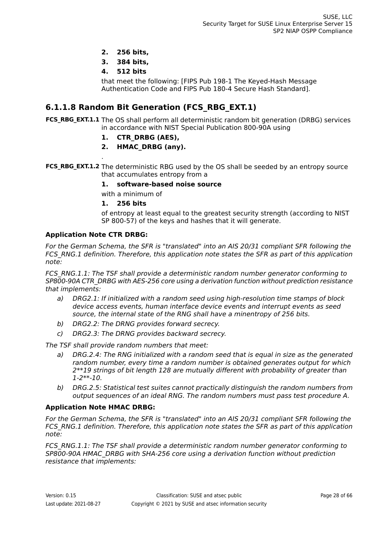- **2. 256 bits,**
- **3. 384 bits,**
- **4. 512 bits**

that meet the following: [FIPS Pub 198-1 The Keyed-Hash Message Authentication Code and FIPS Pub 180-4 Secure Hash Standard].

### <span id="page-27-0"></span>**6.1.1.8 Random Bit Generation (FCS\_RBG\_EXT.1)**

**FCS\_RBG\_EXT.1.1** The OS shall perform all deterministic random bit generation (DRBG) services in accordance with NIST Special Publication 800-90A using

- **1. CTR\_DRBG (AES),**
- **2. HMAC\_DRBG (any).**
- **FCS\_RBG\_EXT.1.2** The deterministic RBG used by the OS shall be seeded by an entropy source that accumulates entropy from a

### **1. software-based noise source**

with a minimum of

### **1. 256 bits**

of entropy at least equal to the greatest security strength (according to NIST SP 800-57) of the keys and hashes that it will generate.

### **Application Note CTR DRBG:**

.

For the German Schema, the SFR is "translated" into an AIS 20/31 compliant SFR following the FCS RNG.1 definition. Therefore, this application note states the SFR as part of this application note:

FCS RNG.1.1: The TSF shall provide a deterministic random number generator conforming to SP800-90A CTR\_DRBG with AES-256 core using a derivation function without prediction resistance that implements:

- a) DRG2.1: If initialized with a random seed using high-resolution time stamps of block device access events, human interface device events and interrupt events as seed source, the internal state of the RNG shall have a minentropy of 256 bits.
- b) DRG2.2: The DRNG provides forward secrecy.
- c) DRG2.3: The DRNG provides backward secrecy.

The TSF shall provide random numbers that meet:

- a) DRG.2.4: The RNG initialized with a random seed that is equal in size as the generated random number, every time a random number is obtained generates output for which 2\*\*19 strings of bit length 128 are mutually different with probability of greater than 1-2\*\*-10.
- b) DRG.2.5: Statistical test suites cannot practically distinguish the random numbers from output sequences of an ideal RNG. The random numbers must pass test procedure A.

### **Application Note HMAC DRBG:**

For the German Schema, the SFR is "translated" into an AIS 20/31 compliant SFR following the FCS RNG.1 definition. Therefore, this application note states the SFR as part of this application note:

FCS RNG.1.1: The TSF shall provide a deterministic random number generator conforming to SP800-90A HMAC\_DRBG with SHA-256 core using a derivation function without prediction resistance that implements: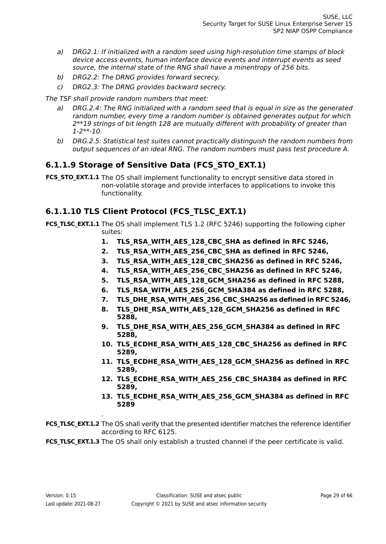- a) DRG2.1: If initialized with a random seed using high-resolution time stamps of block device access events, human interface device events and interrupt events as seed source, the internal state of the RNG shall have a minentropy of 256 bits.
- b) DRG2.2: The DRNG provides forward secrecy.
- c) DRG2.3: The DRNG provides backward secrecy.

The TSF shall provide random numbers that meet:

- a) DRG.2.4: The RNG initialized with a random seed that is equal in size as the generated random number, every time a random number is obtained generates output for which 2\*\*19 strings of bit length 128 are mutually different with probability of greater than 1-2\*\*-10.
- b) DRG.2.5: Statistical test suites cannot practically distinguish the random numbers from output sequences of an ideal RNG. The random numbers must pass test procedure A.

### <span id="page-28-0"></span>**6.1.1.9 Storage of Sensitive Data (FCS\_STO\_EXT.1)**

<span id="page-28-1"></span>**FCS\_STO\_EXT.1.1** The OS shall implement functionality to encrypt sensitive data stored in non-volatile storage and provide interfaces to applications to invoke this functionality.

### **6.1.1.10 TLS Client Protocol (FCS\_TLSC\_EXT.1)**

- **FCS\_TLSC\_EXT.1.1** The OS shall implement TLS 1.2 (RFC 5246) supporting the following cipher suites:
	- **1. TLS\_RSA\_WITH\_AES\_128\_CBC\_SHA as defined in RFC 5246,**
	- **2. TLS\_RSA\_WITH\_AES\_256\_CBC\_SHA as defined in RFC 5246,**
	- **3. TLS\_RSA\_WITH\_AES\_128\_CBC\_SHA256 as defined in RFC 5246,**
	- **4. TLS\_RSA\_WITH\_AES\_256\_CBC\_SHA256 as defined in RFC 5246,**
	- **5. TLS\_RSA\_WITH\_AES\_128\_GCM\_SHA256 as defined in RFC 5288,**
	- **6. TLS\_RSA\_WITH\_AES\_256\_GCM\_SHA384 as defined in RFC 5288,**
	- **7. TLS\_DHE\_RSA\_WITH\_AES\_256\_CBC\_SHA256 as defined in RFC 5246,**
	- **8. TLS\_DHE\_RSA\_WITH\_AES\_128\_GCM\_SHA256 as defined in RFC 5288,**
	- **9. TLS\_DHE\_RSA\_WITH\_AES\_256\_GCM\_SHA384 as defined in RFC 5288,**
	- **10. TLS\_ECDHE\_RSA\_WITH\_AES\_128\_CBC\_SHA256 as defined in RFC 5289,**
	- **11. TLS\_ECDHE\_RSA\_WITH\_AES\_128\_GCM\_SHA256 as defined in RFC 5289,**
	- **12. TLS\_ECDHE\_RSA\_WITH\_AES\_256\_CBC\_SHA384 as defined in RFC 5289,**
	- **13. TLS\_ECDHE\_RSA\_WITH\_AES\_256\_GCM\_SHA384 as defined in RFC 5289**

**FCS\_TLSC\_EXT.1.2** The OS shall verify that the presented identifier matches the reference identifier according to RFC 6125.

**FCS\_TLSC\_EXT.1.3** The OS shall only establish a trusted channel if the peer certificate is valid.

.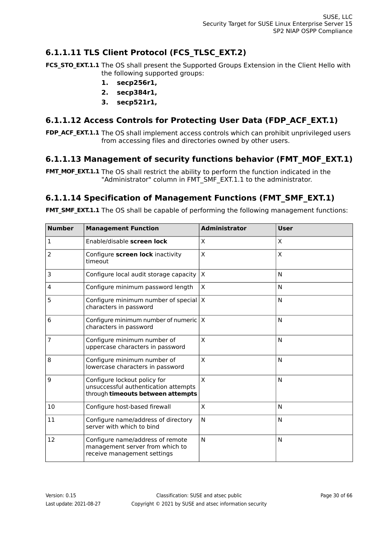## <span id="page-29-0"></span>**6.1.1.11 TLS Client Protocol (FCS\_TLSC\_EXT.2)**

**FCS\_STO\_EXT.1.1** The OS shall present the Supported Groups Extension in the Client Hello with the following supported groups:

- **1. secp256r1,**
- **2. secp384r1,**
- **3. secp521r1,**

### <span id="page-29-1"></span>**6.1.1.12 Access Controls for Protecting User Data (FDP\_ACF\_EXT.1)**

<span id="page-29-2"></span>**FDP\_ACF\_EXT.1.1** The OS shall implement access controls which can prohibit unprivileged users from accessing files and directories owned by other users.

### **6.1.1.13 Management of security functions behavior (FMT\_MOF\_EXT.1)**

<span id="page-29-3"></span>**FMT\_MOF\_EXT.1.1** The OS shall restrict the ability to perform the function indicated in the "Administrator" column in FMT\_SMF\_EXT.1.1 to the administrator.

### **6.1.1.14 Specification of Management Functions (FMT\_SMF\_EXT.1)**

<span id="page-29-4"></span>**FMT\_SMF\_EXT.1.1** The OS shall be capable of performing the following management functions:

| <b>Number</b>  | <b>Management Function</b>                                                                                | <b>Administrator</b> | <b>User</b> |
|----------------|-----------------------------------------------------------------------------------------------------------|----------------------|-------------|
| 1              | Enable/disable screen lock                                                                                | X                    | X           |
| $\overline{2}$ | Configure screen lock inactivity<br>timeout                                                               | X                    | X           |
| 3              | Configure local audit storage capacity                                                                    | X                    | N           |
| $\overline{4}$ | Configure minimum password length                                                                         | X                    | N           |
| 5              | Configure minimum number of special $ X $<br>characters in password                                       |                      | N           |
| 6              | Configure minimum number of numeric $X$<br>characters in password                                         |                      | N           |
| 7              | Configure minimum number of<br>uppercase characters in password                                           | X                    | N           |
| 8              | Configure minimum number of<br>lowercase characters in password                                           | X                    | N           |
| 9              | Configure lockout policy for<br>unsuccessful authentication attempts<br>through timeouts between attempts | $\mathsf{X}$         | N           |
| 10             | Configure host-based firewall                                                                             | X                    | N           |
| 11             | Configure name/address of directory<br>server with which to bind                                          | N                    | N           |
| 12             | Configure name/address of remote<br>management server from which to<br>receive management settings        | N                    | N           |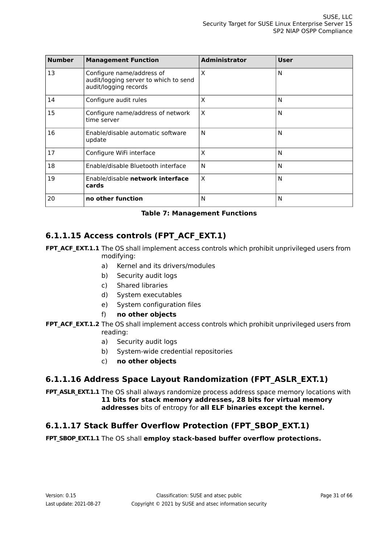| <b>Number</b> | <b>Management Function</b>                                                                  | <b>Administrator</b> | <b>User</b> |
|---------------|---------------------------------------------------------------------------------------------|----------------------|-------------|
| 13            | Configure name/address of<br>audit/logging server to which to send<br>audit/logging records | X                    | N           |
| 14            | Configure audit rules                                                                       | Χ                    | N           |
| 15            | Configure name/address of network<br>time server                                            | X                    | N           |
| 16            | Enable/disable automatic software<br>update                                                 | N                    | N           |
| 17            | Configure WiFi interface                                                                    | X                    | N           |
| 18            | Enable/disable Bluetooth interface                                                          | N                    | N           |
| 19            | Enable/disable network interface<br>cards                                                   | X                    | N           |
| 20            | no other function                                                                           | N                    | N           |

### **Table 7: Management Functions**

## <span id="page-30-0"></span>**6.1.1.15 Access controls (FPT\_ACF\_EXT.1)**

**FPT\_ACF\_EXT.1.1** The OS shall implement access controls which prohibit unprivileged users from modifying:

- a) Kernel and its drivers/modules
- b) Security audit logs
- c) Shared libraries
- d) System executables
- e) System configuration files
- f) **no other objects**
- <span id="page-30-1"></span>**FPT\_ACF\_EXT.1.2** The OS shall implement access controls which prohibit unprivileged users from reading:
	- a) Security audit logs
	- b) System-wide credential repositories
	- c) **no other objects**

### <span id="page-30-2"></span>**6.1.1.16 Address Space Layout Randomization (FPT\_ASLR\_EXT.1)**

**FPT\_ASLR\_EXT.1.1** The OS shall always randomize process address space memory locations with **11 bits for stack memory addresses, 28 bits for virtual memory addresses** bits of entropy for **all ELF binaries except the kernel.**

## **6.1.1.17 Stack Buffer Overflow Protection (FPT\_SBOP\_EXT.1)**

**FPT\_SBOP\_EXT.1.1** The OS shall **employ stack-based buffer overflow protections.**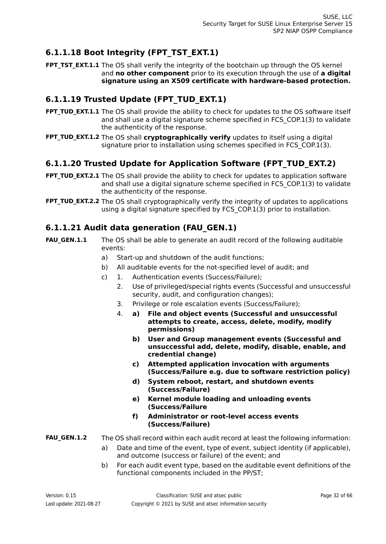## <span id="page-31-0"></span>**6.1.1.18 Boot Integrity (FPT\_TST\_EXT.1)**

**FPT\_TST\_EXT.1.1** The OS shall verify the integrity of the bootchain up through the OS kernel and **no other component** prior to its execution through the use of **a digital signature using an X509 certificate with hardware-based protection.**

## <span id="page-31-1"></span>**6.1.1.19 Trusted Update (FPT\_TUD\_EXT.1)**

**FPT\_TUD\_EXT.1.1** The OS shall provide the ability to check for updates to the OS software itself and shall use a digital signature scheme specified in FCS\_COP.1(3) to validate the authenticity of the response.

<span id="page-31-2"></span>**FPT\_TUD\_EXT.1.2** The OS shall **cryptographically verify** updates to itself using a digital signature prior to installation using schemes specified in FCS\_COP.1(3).

## **6.1.1.20 Trusted Update for Application Software (FPT\_TUD\_EXT.2)**

**FPT\_TUD\_EXT.2.1** The OS shall provide the ability to check for updates to application software and shall use a digital signature scheme specified in FCS\_COP.1(3) to validate the authenticity of the response.

<span id="page-31-3"></span>**FPT\_TUD\_EXT.2.2** The OS shall cryptographically verify the integrity of updates to applications using a digital signature specified by FCS\_COP.1(3) prior to installation.

### **6.1.1.21 Audit data generation (FAU\_GEN.1)**

The OS shall be able to generate an audit record of the following auditable events: **FAU\_GEN.1.1**

- a) Start-up and shutdown of the audit functions;
- b) All auditable events for the not-specified level of audit; and
- c) 1. Authentication events (Success/Failure);
	- 2. Use of privileged/special rights events (Successful and unsuccessful security, audit, and configuration changes);
	- 3. Privilege or role escalation events (Success/Failure);
	- 4. **a) File and object events (Successful and unsuccessful attempts to create, access, delete, modify, modify permissions)**
		- **b) User and Group management events (Successful and unsuccessful add, delete, modify, disable, enable, and credential change)**
		- **c) Attempted application invocation with arguments (Success/Failure e.g. due to software restriction policy)**
		- **d) System reboot, restart, and shutdown events (Success/Failure)**
		- **e) Kernel module loading and unloading events (Success/Failure**
		- **f) Administrator or root-level access events (Success/Failure)**
- **FAU\_GEN.1.2** The OS shall record within each audit record at least the following information:
	- a) Date and time of the event, type of event, subject identity (if applicable), and outcome (success or failure) of the event; and
	- b) For each audit event type, based on the auditable event definitions of the functional components included in the PP/ST;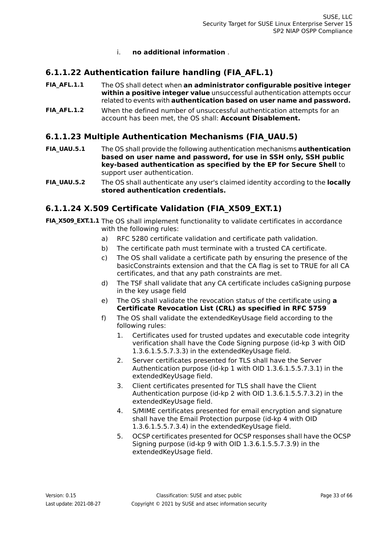### i. **no additional information** .

## <span id="page-32-0"></span>**6.1.1.22 Authentication failure handling (FIA\_AFL.1)**

- The OS shall detect when **an administrator configurable positive integer within a positive integer value** unsuccessful authentication attempts occur related to events with **authentication based on user name and password. FIA\_AFL.1.1**
- <span id="page-32-1"></span>When the defined number of unsuccessful authentication attempts for an account has been met, the OS shall: **Account Disablement. FIA\_AFL.1.2**

### **6.1.1.23 Multiple Authentication Mechanisms (FIA\_UAU.5)**

- The OS shall provide the following authentication mechanisms **authentication based on user name and password, for use in SSH only, SSH public key-based authentication as specified by the EP for Secure Shell** to support user authentication. **FIA\_UAU.5.1**
- <span id="page-32-2"></span>The OS shall authenticate any user's claimed identity according to the **locally stored authentication credentials. FIA\_UAU.5.2**

### **6.1.1.24 X.509 Certificate Validation (FIA\_X509\_EXT.1)**

**FIA\_X509\_EXT.1.1** The OS shall implement functionality to validate certificates in accordance with the following rules:

- a) RFC 5280 certificate validation and certificate path validation.
- b) The certificate path must terminate with a trusted CA certificate.
- c) The OS shall validate a certificate path by ensuring the presence of the basicConstraints extension and that the CA flag is set to TRUE for all CA certificates, and that any path constraints are met.
- d) The TSF shall validate that any CA certificate includes caSigning purpose in the key usage field
- e) The OS shall validate the revocation status of the certificate using **a Certificate Revocation List (CRL) as specified in RFC 5759**
- f) The OS shall validate the extendedKeyUsage field according to the following rules:
	- 1. Certificates used for trusted updates and executable code integrity verification shall have the Code Signing purpose (id-kp 3 with OID 1.3.6.1.5.5.7.3.3) in the extendedKeyUsage field.
	- 2. Server certificates presented for TLS shall have the Server Authentication purpose (id-kp 1 with OID 1.3.6.1.5.5.7.3.1) in the extendedKeyUsage field.
	- 3. Client certificates presented for TLS shall have the Client Authentication purpose (id-kp 2 with OID 1.3.6.1.5.5.7.3.2) in the extendedKeyUsage field.
	- 4. S/MIME certificates presented for email encryption and signature shall have the Email Protection purpose (id-kp 4 with OID 1.3.6.1.5.5.7.3.4) in the extendedKeyUsage field.
	- 5. OCSP certificates presented for OCSP responses shall have the OCSP Signing purpose (id-kp 9 with OID 1.3.6.1.5.5.7.3.9) in the extendedKeyUsage field.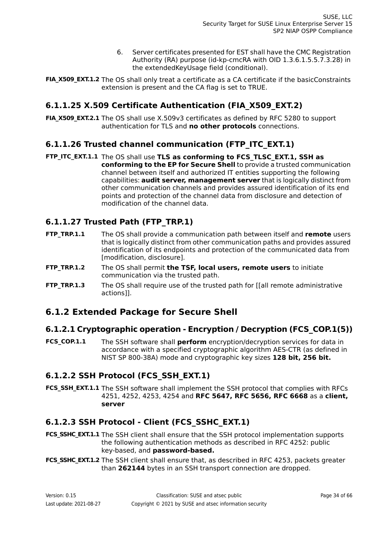- 6. Server certificates presented for EST shall have the CMC Registration Authority (RA) purpose (id-kp-cmcRA with OID 1.3.6.1.5.5.7.3.28) in the extendedKeyUsage field (conditional).
- **FIA\_X509\_EXT.1.2** The OS shall only treat a certificate as a CA certificate if the basicConstraints extension is present and the CA flag is set to TRUE.

### <span id="page-33-0"></span>**6.1.1.25 X.509 Certificate Authentication (FIA\_X509\_EXT.2)**

<span id="page-33-1"></span>**FIA\_X509\_EXT.2.1** The OS shall use X.509v3 certificates as defined by RFC 5280 to support authentication for TLS and **no other protocols** connections.

### **6.1.1.26 Trusted channel communication (FTP\_ITC\_EXT.1)**

The OS shall use **TLS as conforming to FCS\_TLSC\_EXT.1, SSH as FTP\_ITC\_EXT.1.1 conforming to the EP for Secure Shell** to provide a trusted communication channel between itself and authorized IT entities supporting the following capabilities: **audit server, management server** that is logically distinct from other communication channels and provides assured identification of its end points and protection of the channel data from disclosure and detection of modification of the channel data.

### <span id="page-33-2"></span>**6.1.1.27 Trusted Path (FTP\_TRP.1)**

- The OS shall provide a communication path between itself and **remote** users that is logically distinct from other communication paths and provides assured identification of its endpoints and protection of the communicated data from [modification, disclosure]. **FTP\_TRP.1.1**
- The OS shall permit **the TSF, local users, remote users** to initiate communication via the trusted path. **FTP\_TRP.1.2**
- <span id="page-33-4"></span><span id="page-33-3"></span>The OS shall require use of the trusted path for [[all remote administrative actions]]. **FTP\_TRP.1.3**

## **6.1.2 Extended Package for Secure Shell**

### **6.1.2.1 Cryptographic operation - Encryption / Decryption (FCS\_COP.1(5))**

<span id="page-33-5"></span>The SSH software shall **perform** encryption/decryption services for data in accordance with a specified cryptographic algorithm AES-CTR (as defined in NIST SP 800-38A) mode and cryptographic key sizes **128 bit, 256 bit. FCS\_COP.1.1**

## <span id="page-33-6"></span>**6.1.2.2 SSH Protocol (FCS\_SSH\_EXT.1)**

**FCS\_SSH\_EXT.1.1** The SSH software shall implement the SSH protocol that complies with RFCs 4251, 4252, 4253, 4254 and **RFC 5647, RFC 5656, RFC 6668** as a **client, server**

## **6.1.2.3 SSH Protocol - Client (FCS\_SSHC\_EXT.1)**

**FCS\_SSHC\_EXT.1.1** The SSH client shall ensure that the SSH protocol implementation supports the following authentication methods as described in RFC 4252: public key-based, and **password-based.**

**FCS\_SSHC\_EXT.1.2** The SSH client shall ensure that, as described in RFC 4253, packets greater than **262144** bytes in an SSH transport connection are dropped.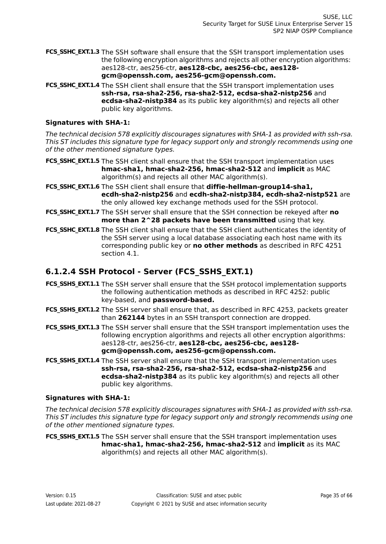**FCS\_SSHC\_EXT.1.3** The SSH software shall ensure that the SSH transport implementation uses the following encryption algorithms and rejects all other encryption algorithms: aes128-ctr, aes256-ctr, **aes128-cbc, aes256-cbc, aes128 gcm@openssh.com, aes256-gcm@openssh.com.**

**FCS\_SSHC\_EXT.1.4** The SSH client shall ensure that the SSH transport implementation uses **ssh-rsa, rsa-sha2-256, rsa-sha2-512, ecdsa-sha2-nistp256** and **ecdsa-sha2-nistp384** as its public key algorithm(s) and rejects all other public key algorithms.

### **Signatures with SHA-1:**

The technical decision 578 explicitly discourages signatures with SHA-1 as provided with ssh-rsa. This ST includes this signature type for legacy support only and strongly recommends using one of the other mentioned signature types.

- **FCS\_SSHC\_EXT.1.5** The SSH client shall ensure that the SSH transport implementation uses **hmac-sha1, hmac-sha2-256, hmac-sha2-512** and **implicit** as MAC algorithm(s) and rejects all other MAC algorithm(s).
- **FCS\_SSHC\_EXT.1.6** The SSH client shall ensure that **diffie-hellman-group14-sha1, ecdh-sha2-nistp256** and **ecdh-sha2-nistp384, ecdh-sha2-nistp521** are the only allowed key exchange methods used for the SSH protocol.
- **FCS\_SSHC\_EXT.1.7** The SSH server shall ensure that the SSH connection be rekeyed after **no more than 2^28 packets have been transmitted** using that key.
- <span id="page-34-0"></span>**FCS\_SSHC\_EXT.1.8** The SSH client shall ensure that the SSH client authenticates the identity of the SSH server using a local database associating each host name with its corresponding public key or **no other methods** as described in RFC 4251 section 4.1.

### **6.1.2.4 SSH Protocol - Server (FCS\_SSHS\_EXT.1)**

- **FCS\_SSHS\_EXT.1.1** The SSH server shall ensure that the SSH protocol implementation supports the following authentication methods as described in RFC 4252: public key-based, and **password-based.**
- **FCS\_SSHS\_EXT.1.2** The SSH server shall ensure that, as described in RFC 4253, packets greater than **262144** bytes in an SSH transport connection are dropped.
- **FCS\_SSHS\_EXT.1.3** The SSH server shall ensure that the SSH transport implementation uses the following encryption algorithms and rejects all other encryption algorithms: aes128-ctr, aes256-ctr, **aes128-cbc, aes256-cbc, aes128 gcm@openssh.com, aes256-gcm@openssh.com.**
- **FCS\_SSHS\_EXT.1.4** The SSH server shall ensure that the SSH transport implementation uses **ssh-rsa, rsa-sha2-256, rsa-sha2-512, ecdsa-sha2-nistp256** and **ecdsa-sha2-nistp384** as its public key algorithm(s) and rejects all other public key algorithms.

### **Signatures with SHA-1:**

The technical decision 578 explicitly discourages signatures with SHA-1 as provided with ssh-rsa. This ST includes this signature type for legacy support only and strongly recommends using one of the other mentioned signature types.

**FCS\_SSHS\_EXT.1.5** The SSH server shall ensure that the SSH transport implementation uses **hmac-sha1, hmac-sha2-256, hmac-sha2-512** and **implicit** as its MAC algorithm(s) and rejects all other MAC algorithm(s).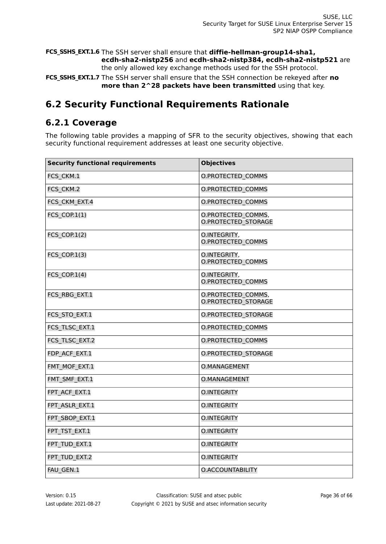**FCS\_SSHS\_EXT.1.6** The SSH server shall ensure that **diffie-hellman-group14-sha1, ecdh-sha2-nistp256** and **ecdh-sha2-nistp384, ecdh-sha2-nistp521** are the only allowed key exchange methods used for the SSH protocol.

**FCS\_SSHS\_EXT.1.7** The SSH server shall ensure that the SSH connection be rekeyed after **no** 

**more than 2^28 packets have been transmitted** using that key.

## <span id="page-35-1"></span><span id="page-35-0"></span>**6.2 Security Functional Requirements Rationale**

## **6.2.1 Coverage**

The following table provides a mapping of SFR to the security objectives, showing that each security functional requirement addresses at least one security objective.

<span id="page-35-2"></span>

| <b>Security functional requirements</b> | <b>Objectives</b>                                |
|-----------------------------------------|--------------------------------------------------|
| FCS CKM.1                               | <b>O.PROTECTED COMMS</b>                         |
| FCS CKM.2                               | O.PROTECTED COMMS                                |
| FCS CKM EXT.4                           | O.PROTECTED COMMS                                |
| FCS COP. $1(1)$                         | O.PROTECTED_COMMS,<br>O.PROTECTED STORAGE        |
| <b>FCS COP.1(2)</b>                     | O.INTEGRITY,<br>O.PROTECTED COMMS                |
| FCS_COP.1(3)                            | O.INTEGRITY,<br><b>O.PROTECTED_COMMS</b>         |
| FCS COP. $1(4)$                         | O.INTEGRITY,<br>O.PROTECTED COMMS                |
| FCS_RBG_EXT.1                           | O.PROTECTED COMMS,<br><b>O.PROTECTED STORAGE</b> |
| FCS_STO_EXT.1                           | <b>O.PROTECTED STORAGE</b>                       |
| FCS TLSC EXT.1                          | <b>O.PROTECTED COMMS</b>                         |
| FCS_TLSC_EXT.2                          | O.PROTECTED_COMMS                                |
| FDP ACF EXT.1                           | <b>O.PROTECTED STORAGE</b>                       |
| FMT MOF EXT.1                           | O.MANAGEMENT                                     |
| FMT SMF EXT.1                           | <b>O.MANAGEMENT</b>                              |
| FPT ACF EXT.1                           | <b>O.INTEGRITY</b>                               |
| FPT ASLR EXT.1                          | <b>O.INTEGRITY</b>                               |
| FPT_SBOP_EXT.1                          | <b>O.INTEGRITY</b>                               |
| FPT TST EXT.1                           | <b>O.INTEGRITY</b>                               |
| FPT TUD EXT.1                           | <b>O.INTEGRITY</b>                               |
| FPT_TUD_EXT.2                           | <b>O.INTEGRITY</b>                               |
| FAU GEN.1                               | <b>O.ACCOUNTABILITY</b>                          |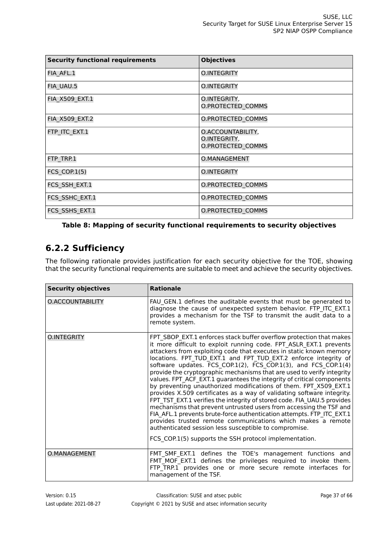| <b>Security functional requirements</b> | <b>Objectives</b>                                             |
|-----------------------------------------|---------------------------------------------------------------|
| FIA AFL.1                               | <b>O.INTEGRITY</b>                                            |
| FIA UAU.5                               | <b>O.INTEGRITY</b>                                            |
| FIA_X509_EXT.1                          | O.INTEGRITY,<br>O.PROTECTED COMMS                             |
| <b>FIA X509 EXT.2</b>                   | O.PROTECTED COMMS                                             |
| FTP ITC EXT.1                           | O.ACCOUNTABILITY,<br>O.INTEGRITY,<br><b>O.PROTECTED_COMMS</b> |
| FTP_TRP.1                               | <b>O.MANAGEMENT</b>                                           |
| FCS COP. $1(5)$                         | <b>O.INTEGRITY</b>                                            |
| FCS_SSH_EXT.1                           | O.PROTECTED COMMS                                             |
| FCS SSHC EXT.1                          | O.PROTECTED COMMS                                             |
| FCS SSHS EXT.1                          | O.PROTECTED COMMS                                             |

<span id="page-36-0"></span>**Table 8: Mapping of security functional requirements to security objectives**

## **6.2.2 Sufficiency**

<span id="page-36-1"></span>The following rationale provides justification for each security objective for the TOE, showing that the security functional requirements are suitable to meet and achieve the security objectives.

| <b>Security objectives</b> | <b>Rationale</b>                                                                                                                                                                                                                                                                                                                                                                                                                                                                                                                                                                                                                                                                                                                                                                                                                                                                                                                                                                                                                                                   |
|----------------------------|--------------------------------------------------------------------------------------------------------------------------------------------------------------------------------------------------------------------------------------------------------------------------------------------------------------------------------------------------------------------------------------------------------------------------------------------------------------------------------------------------------------------------------------------------------------------------------------------------------------------------------------------------------------------------------------------------------------------------------------------------------------------------------------------------------------------------------------------------------------------------------------------------------------------------------------------------------------------------------------------------------------------------------------------------------------------|
| O.ACCOUNTABILITY           | FAU GEN.1 defines the auditable events that must be generated to<br>diagnose the cause of unexpected system behavior. FTP ITC EXT.1<br>provides a mechanism for the TSF to transmit the audit data to a<br>remote system.                                                                                                                                                                                                                                                                                                                                                                                                                                                                                                                                                                                                                                                                                                                                                                                                                                          |
| <b>O.INTEGRITY</b>         | FPT SBOP EXT.1 enforces stack buffer overflow protection that makes<br>it more difficult to exploit running code. FPT ASLR EXT.1 prevents<br>attackers from exploiting code that executes in static known memory<br>locations. FPT TUD EXT.1 and FPT TUD EXT.2 enforce integrity of<br>software updates. FCS COP.1(2), FCS COP.1(3), and FCS COP.1(4)<br>provide the cryptographic mechanisms that are used to verify integrity<br>values. FPT ACF EXT.1 guarantees the integrity of critical components<br>by preventing unauthorized modifications of them. FPT X509 EXT.1<br>provides X.509 certificates as a way of validating software integrity.<br>FPT_TST_EXT.1 verifies the integrity of stored code. FIA_UAU.5 provides<br>mechanisms that prevent untrusted users from accessing the TSF and<br>FIA AFL.1 prevents brute-force authentication attempts. FTP ITC EXT.1<br>provides trusted remote communications which makes a remote<br>authenticated session less susceptible to compromise.<br>FCS_COP.1(5) supports the SSH protocol implementation. |
| O.MANAGEMENT               | FMT SMF EXT.1 defines the TOE's management functions and<br>FMT MOF EXT.1 defines the privileges required to invoke them.<br>FTP TRP.1 provides one or more secure remote interfaces for<br>management of the TSF.                                                                                                                                                                                                                                                                                                                                                                                                                                                                                                                                                                                                                                                                                                                                                                                                                                                 |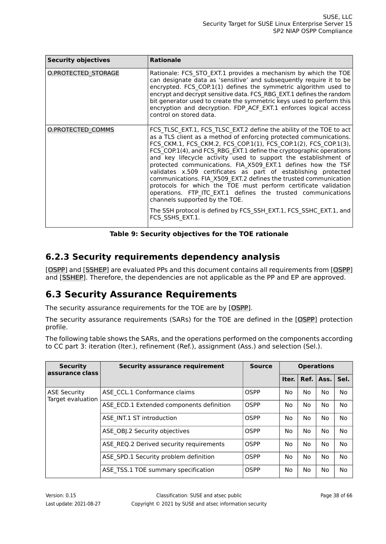| <b>Security objectives</b> | <b>Rationale</b>                                                                                                                                                                                                                                                                                                                                                                                                                                                                                                                                                                                                                                                                                                                                                                                                          |
|----------------------------|---------------------------------------------------------------------------------------------------------------------------------------------------------------------------------------------------------------------------------------------------------------------------------------------------------------------------------------------------------------------------------------------------------------------------------------------------------------------------------------------------------------------------------------------------------------------------------------------------------------------------------------------------------------------------------------------------------------------------------------------------------------------------------------------------------------------------|
| O.PROTECTED STORAGE        | Rationale: FCS_STO_EXT.1 provides a mechanism by which the TOE<br>can designate data as 'sensitive' and subsequently require it to be<br>encrypted. FCS_COP.1(1) defines the symmetric algorithm used to<br>encrypt and decrypt sensitive data. FCS RBG EXT.1 defines the random<br>bit generator used to create the symmetric keys used to perform this<br>encryption and decryption. FDP_ACF_EXT.1 enforces logical access<br>control on stored data.                                                                                                                                                                                                                                                                                                                                                                   |
| O.PROTECTED COMMS          | FCS_TLSC_EXT.1, FCS_TLSC_EXT.2 define the ability of the TOE to act<br>as a TLS client as a method of enforcing protected communications.<br>FCS_CKM.1, FCS_CKM.2, FCS_COP.1(1), FCS_COP.1(2), FCS_COP.1(3),<br>FCS_COP.1(4), and FCS_RBG_EXT.1 define the cryptographic operations<br>and key lifecycle activity used to support the establishment of<br>protected communications. FIA X509 EXT.1 defines how the TSF<br>validates x.509 certificates as part of establishing protected<br>communications. FIA X509 EXT.2 defines the trusted communication<br>protocols for which the TOE must perform certificate validation<br>operations. FTP ITC EXT.1 defines the trusted communications<br>channels supported by the TOE.<br>The SSH protocol is defined by FCS_SSH_EXT.1, FCS_SSHC_EXT.1, and<br>FCS SSHS EXT.1. |

**Table 9: Security objectives for the TOE rationale**

## <span id="page-37-0"></span>**6.2.3 Security requirements dependency analysis**

<span id="page-37-1"></span>[\[OSPP\]](#page-65-1) and [\[SSHEP\]](#page-65-2) are evaluated PPs and this document contains all requirements from [\[OSPP\]](#page-65-1) and [\[SSHEP\].](#page-65-2) Therefore, the dependencies are not applicable as the PP and EP are approved.

## **6.3 Security Assurance Requirements**

The security assurance requirements for the TOE are by [\[OSPP\]](#page-65-1).

The security assurance requirements (SARs) for the TOE are defined in the [\[OSPP\]](#page-65-1) protection profile.

The following table shows the SARs, and the operations performed on the components according to CC part 3: iteration (Iter.), refinement (Ref.), assignment (Ass.) and selection (Sel.).

<span id="page-37-2"></span>

| <b>Security</b><br>assurance class       | <b>Security assurance requirement</b><br><b>Source</b> |             | <b>Operations</b> |                |      |      |  |
|------------------------------------------|--------------------------------------------------------|-------------|-------------------|----------------|------|------|--|
|                                          |                                                        |             | Iter.             | Ref.           | Ass. | Sel. |  |
| <b>ASE Security</b><br>Target evaluation | ASE CCL.1 Conformance claims                           | <b>OSPP</b> | No.               | No             | No.  | No   |  |
|                                          | ASE ECD.1 Extended components definition               | <b>OSPP</b> | No.               | No             | No   | No   |  |
|                                          | ASE INT.1 ST introduction                              | <b>OSPP</b> | No.               | No.            | No.  | No   |  |
|                                          | ASE OBJ.2 Security objectives                          | <b>OSPP</b> | <b>No</b>         | No             | No   | No   |  |
|                                          | ASE REQ.2 Derived security requirements                | <b>OSPP</b> | No.               | No             | No   | No   |  |
|                                          | ASE SPD.1 Security problem definition                  | <b>OSPP</b> | No.               | N <sub>o</sub> | No.  | No   |  |
|                                          | ASE TSS.1 TOE summary specification                    | <b>OSPP</b> | No                | No             | No   | No   |  |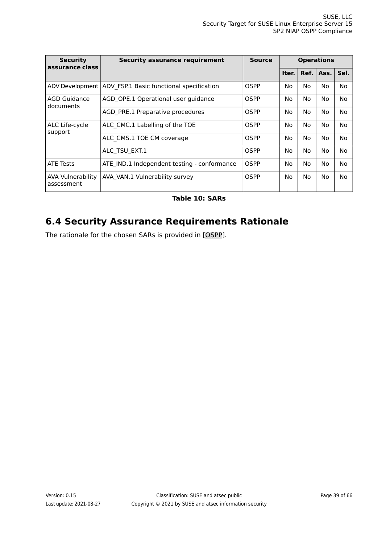| <b>Security</b><br>assurance class | <b>Security assurance requirement</b>                      | <b>Source</b> | <b>Operations</b> |      |      |      |
|------------------------------------|------------------------------------------------------------|---------------|-------------------|------|------|------|
|                                    |                                                            |               | Iter.             | Ref. | Ass. | Sel. |
|                                    | ADV Development   ADV FSP.1 Basic functional specification | <b>OSPP</b>   | No.               | No   | No   | No   |
| <b>AGD Guidance</b><br>documents   | AGD OPE.1 Operational user guidance                        | <b>OSPP</b>   | No.               | No.  | No   | No   |
|                                    | AGD PRE.1 Preparative procedures                           | <b>OSPP</b>   | No.               | No.  | No.  | No.  |
| ALC Life-cycle<br>support          | ALC CMC.1 Labelling of the TOE                             | <b>OSPP</b>   | No.               | No   | No   | No   |
|                                    | ALC CMS.1 TOE CM coverage                                  | <b>OSPP</b>   | No                | No   | No   | No.  |
|                                    | ALC TSU EXT.1                                              | <b>OSPP</b>   | No.               | No   | No   | No   |
| <b>ATE Tests</b>                   | ATE IND.1 Independent testing - conformance                | <b>OSPP</b>   | No.               | No   | No.  | No.  |
| AVA Vulnerability<br>assessment    | AVA VAN.1 Vulnerability survey                             | OSPP          | No.               | No.  | No.  | No   |

### **Table 10: SARs**

## <span id="page-38-0"></span>**6.4 Security Assurance Requirements Rationale**

The rationale for the chosen SARs is provided in [\[OSPP\]](#page-65-1).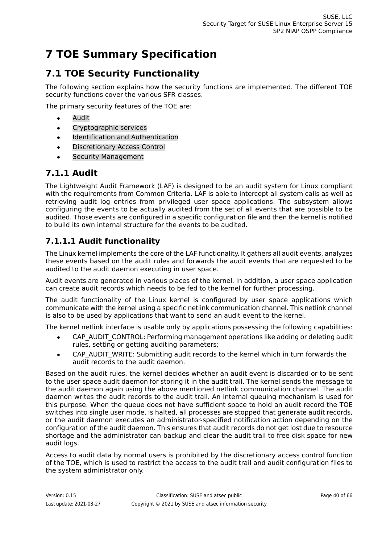# <span id="page-39-0"></span>**7 TOE Summary Specification**

## <span id="page-39-1"></span>**7.1 TOE Security Functionality**

The following section explains how the security functions are implemented. The different TOE security functions cover the various SFR classes.

The primary security features of the TOE are:

- [Audit](#page-39-2)
- [Cryptographic](#page-41-0) services
- **Identification and [Authentication](#page-44-1)**
- **[Discretionary](#page-47-2) Access Control**
- <span id="page-39-2"></span>Security [Management](#page-50-0)

## **7.1.1 Audit**

The Lightweight Audit Framework (LAF) is designed to be an audit system for Linux compliant with the requirements from Common Criteria. LAF is able to intercept all system calls as well as retrieving audit log entries from privileged user space applications. The subsystem allows configuring the events to be actually audited from the set of all events that are possible to be audited. Those events are configured in a specific configuration file and then the kernel is notified to build its own internal structure for the events to be audited.

## <span id="page-39-3"></span>**7.1.1.1 Audit functionality**

The Linux kernel implements the core of the LAF functionality. It gathers all audit events, analyzes these events based on the audit rules and forwards the audit events that are requested to be audited to the audit daemon executing in user space.

Audit events are generated in various places of the kernel. In addition, a user space application can create audit records which needs to be fed to the kernel for further processing.

The audit functionality of the Linux kernel is configured by user space applications which communicate with the kernel using a specific netlink communication channel. This netlink channel is also to be used by applications that want to send an audit event to the kernel.

The kernel netlink interface is usable only by applications possessing the following capabilities:

- CAP\_AUDIT\_CONTROL: Performing management operations like adding or deleting audit rules, setting or getting auditing parameters;
- CAP\_AUDIT\_WRITE: Submitting audit records to the kernel which in turn forwards the audit records to the audit daemon.

Based on the audit rules, the kernel decides whether an audit event is discarded or to be sent to the user space audit daemon for storing it in the audit trail. The kernel sends the message to the audit daemon again using the above mentioned netlink communication channel. The audit daemon writes the audit records to the audit trail. An internal queuing mechanism is used for this purpose. When the queue does not have sufficient space to hold an audit record the TOE switches into single user mode, is halted, all processes are stopped that generate audit records, or the audit daemon executes an administrator-specified notification action depending on the configuration of the audit daemon. This ensures that audit records do not get lost due to resource shortage and the administrator can backup and clear the audit trail to free disk space for new audit logs.

Access to audit data by normal users is prohibited by the discretionary access control function of the TOE, which is used to restrict the access to the audit trail and audit configuration files to the system administrator only.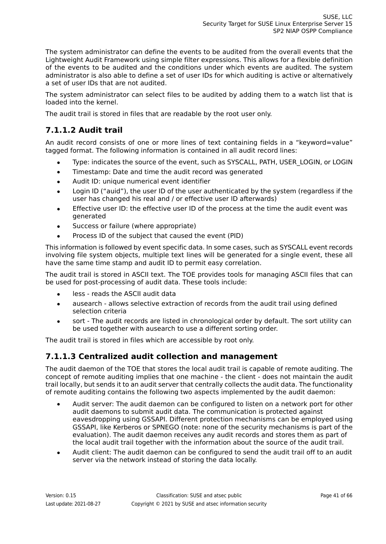The system administrator can define the events to be audited from the overall events that the Lightweight Audit Framework using simple filter expressions. This allows for a flexible definition of the events to be audited and the conditions under which events are audited. The system administrator is also able to define a set of user IDs for which auditing is active or alternatively a set of user IDs that are not audited.

The system administrator can select files to be audited by adding them to a watch list that is loaded into the kernel.

<span id="page-40-0"></span>The audit trail is stored in files that are readable by the root user only.

## **7.1.1.2 Audit trail**

An audit record consists of one or more lines of text containing fields in a "keyword=value" tagged format. The following information is contained in all audit record lines:

- Type: indicates the source of the event, such as SYSCALL, PATH, USER LOGIN, or LOGIN
- Timestamp: Date and time the audit record was generated
- Audit ID: unique numerical event identifier
- Login ID ("auid"), the user ID of the user authenticated by the system (regardless if the user has changed his real and / or effective user ID afterwards)
- Effective user ID: the effective user ID of the process at the time the audit event was generated
- Success or failure (where appropriate)
- Process ID of the subject that caused the event (PID)

This information is followed by event specific data. In some cases, such as SYSCALL event records involving file system objects, multiple text lines will be generated for a single event, these all have the same time stamp and audit ID to permit easy correlation.

The audit trail is stored in ASCII text. The TOE provides tools for managing ASCII files that can be used for post-processing of audit data. These tools include:

- less reads the ASCII audit data
- ausearch allows selective extraction of records from the audit trail using defined selection criteria
- <span id="page-40-1"></span>sort - The audit records are listed in chronological order by default. The sort utility can be used together with ausearch to use a different sorting order.

The audit trail is stored in files which are accessible by root only.

### **7.1.1.3 Centralized audit collection and management**

The audit daemon of the TOE that stores the local audit trail is capable of remote auditing. The concept of remote auditing implies that one machine - the client - does not maintain the audit trail locally, but sends it to an audit server that centrally collects the audit data. The functionality of remote auditing contains the following two aspects implemented by the audit daemon:

- Audit server: The audit daemon can be configured to listen on a network port for other audit daemons to submit audit data. The communication is protected against eavesdropping using GSSAPI. Different protection mechanisms can be employed using GSSAPI, like Kerberos or SPNEGO (note: none of the security mechanisms is part of the evaluation). The audit daemon receives any audit records and stores them as part of the local audit trail together with the information about the source of the audit trail.
- Audit client: The audit daemon can be configured to send the audit trail off to an audit server via the network instead of storing the data locally.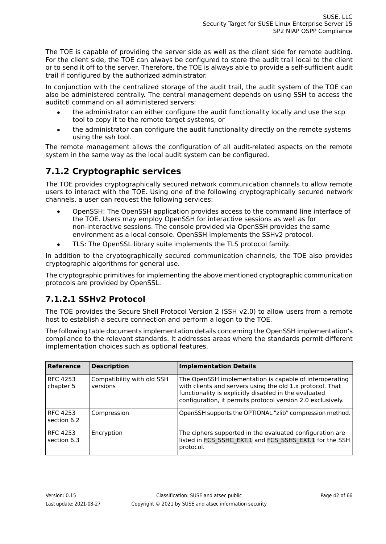The TOE is capable of providing the server side as well as the client side for remote auditing. For the client side, the TOE can always be configured to store the audit trail local to the client or to send it off to the server. Therefore, the TOE is always able to provide a self-sufficient audit trail if configured by the authorized administrator.

In conjunction with the centralized storage of the audit trail, the audit system of the TOE can also be administered centrally. The central management depends on using SSH to access the auditctl command on all administered servers:

- the administrator can either configure the audit functionality locally and use the scp tool to copy it to the remote target systems, or
- the administrator can configure the audit functionality directly on the remote systems using the ssh tool.

<span id="page-41-0"></span>The remote management allows the configuration of all audit-related aspects on the remote system in the same way as the local audit system can be configured.

## **7.1.2 Cryptographic services**

The TOE provides cryptographically secured network communication channels to allow remote users to interact with the TOE. Using one of the following cryptographically secured network channels, a user can request the following services:

- OpenSSH: The OpenSSH application provides access to the command line interface of the TOE. Users may employ OpenSSH for interactive sessions as well as for non-interactive sessions. The console provided via OpenSSH provides the same environment as a local console. OpenSSH implements the SSHv2 protocol.
- TLS: The OpenSSL library suite implements the TLS protocol family.

In addition to the cryptographically secured communication channels, the TOE also provides cryptographic algorithms for general use.

<span id="page-41-1"></span>The cryptographic primitives for implementing the above mentioned cryptographic communication protocols are provided by OpenSSL.

## **7.1.2.1 SSHv2 Protocol**

The TOE provides the Secure Shell Protocol Version 2 (SSH v2.0) to allow users from a remote host to establish a secure connection and perform a logon to the TOE.

<span id="page-41-2"></span>The following table documents implementation details concerning the OpenSSH implementation's compliance to the relevant standards. It addresses areas where the standards permit different implementation choices such as optional features.

| <b>Reference</b>               | <b>Description</b>                     | <b>Implementation Details</b>                                                                                                                                                                                                                |
|--------------------------------|----------------------------------------|----------------------------------------------------------------------------------------------------------------------------------------------------------------------------------------------------------------------------------------------|
| <b>RFC 4253</b><br>chapter 5   | Compatibility with old SSH<br>versions | The OpenSSH implementation is capable of interoperating<br>with clients and servers using the old 1.x protocol. That<br>functionality is explicitly disabled in the evaluated<br>configuration, it permits protocol version 2.0 exclusively. |
| <b>RFC 4253</b><br>section 6.2 | Compression                            | OpenSSH supports the OPTIONAL "zlib" compression method.                                                                                                                                                                                     |
| <b>RFC 4253</b><br>section 6.3 | Encryption                             | The ciphers supported in the evaluated configuration are<br>listed in FCS SSHC EXT.1 and FCS SSHS EXT.1 for the SSH<br>protocol.                                                                                                             |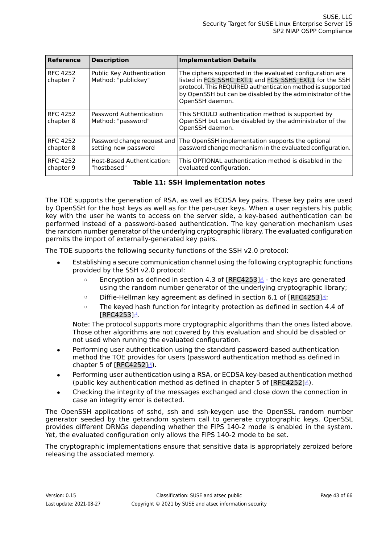| <b>Reference</b>             | <b>Description</b>                                      | <b>Implementation Details</b>                                                                                                                                                                                                                                      |
|------------------------------|---------------------------------------------------------|--------------------------------------------------------------------------------------------------------------------------------------------------------------------------------------------------------------------------------------------------------------------|
| <b>RFC 4252</b><br>chapter 7 | <b>Public Key Authentication</b><br>Method: "publickey" | The ciphers supported in the evaluated configuration are<br>listed in FCS SSHC EXT.1 and FCS SSHS EXT.1 for the SSH<br>protocol. This REQUIRED authentication method is supported<br>by OpenSSH but can be disabled by the administrator of the<br>OpenSSH daemon. |
| <b>RFC 4252</b><br>chapter 8 | Password Authentication<br>Method: "password"           | This SHOULD authentication method is supported by<br>OpenSSH but can be disabled by the administrator of the<br>OpenSSH daemon.                                                                                                                                    |
| <b>RFC 4252</b><br>chapter 8 | Password change request and<br>setting new password     | The OpenSSH implementation supports the optional<br>password change mechanism in the evaluated configuration.                                                                                                                                                      |
| <b>RFC 4252</b><br>chapter 9 | Host-Based Authentication:<br>"hostbased"               | This OPTIONAL authentication method is disabled in the<br>evaluated configuration.                                                                                                                                                                                 |

|  |  |  | Table 11: SSH implementation notes |  |
|--|--|--|------------------------------------|--|
|--|--|--|------------------------------------|--|

The TOE supports the generation of RSA, as well as ECDSA key pairs. These key pairs are used by OpenSSH for the host keys as well as for the per-user keys. When a user registers his public key with the user he wants to access on the server side, a key-based authentication can be performed instead of a password-based authentication. The key generation mechanism uses the random number generator of the underlying cryptographic library. The evaluated configuration permits the import of externally-generated key pairs.

The TOE supports the following security functions of the SSH v2.0 protocol:

- Establishing a secure communication channel using the following cryptographic functions provided by the SSH v2.0 protocol:
	- o Encryption as defined in section 4.3 of [\[RFC4253\]](#page-65-4)₫ the keys are generated using the random number generator of the underlying cryptographic library;
	- ❍ Diffie-Hellman key agreement as defined in section 6.1 of [\[RFC4253\]](#page-65-4)[☝](http://tools.ietf.org/html/rfc4253);
	- ❍ The keyed hash function for integrity protection as defined in section 4.4 of  $[RFC4253]$ ી.

Note: The protocol supports more cryptographic algorithms than the ones listed above. Those other algorithms are not covered by this evaluation and should be disabled or not used when running the evaluated configuration.

- Performing user authentication using the standard password-based authentication method the TOE provides for users (password authentication method as defined in chapter 5 of  $[RFC4252]$
- Performing user authentication using a RSA, or ECDSA key-based authentication method (public key authentication method as defined in chapter 5 of [\[RFC4252\]](#page-65-5)[☝](http://tools.ietf.org/html/rfc4252)).
- Checking the integrity of the messages exchanged and close down the connection in case an integrity error is detected.

The OpenSSH applications of sshd, ssh and ssh-keygen use the OpenSSL random number generator seeded by the getrandom system call to generate cryptographic keys. OpenSSL provides different DRNGs depending whether the FIPS 140-2 mode is enabled in the system. Yet, the evaluated configuration only allows the FIPS 140-2 mode to be set.

The cryptographic implementations ensure that sensitive data is appropriately zeroized before releasing the associated memory.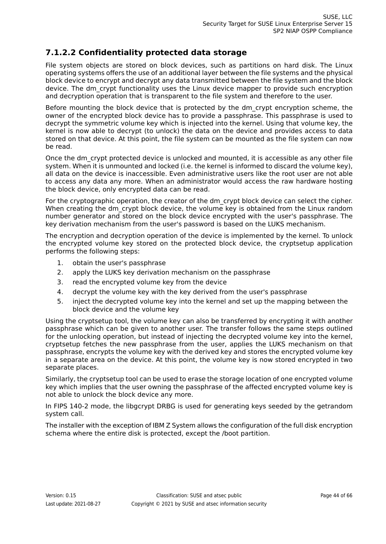## <span id="page-43-0"></span>**7.1.2.2 Confidentiality protected data storage**

File system objects are stored on block devices, such as partitions on hard disk. The Linux operating systems offers the use of an additional layer between the file systems and the physical block device to encrypt and decrypt any data transmitted between the file system and the block device. The dm\_crypt functionality uses the Linux device mapper to provide such encryption and decryption operation that is transparent to the file system and therefore to the user.

Before mounting the block device that is protected by the dm\_crypt encryption scheme, the owner of the encrypted block device has to provide a passphrase. This passphrase is used to decrypt the symmetric volume key which is injected into the kernel. Using that volume key, the kernel is now able to decrypt (to unlock) the data on the device and provides access to data stored on that device. At this point, the file system can be mounted as the file system can now be read.

Once the dm\_crypt protected device is unlocked and mounted, it is accessible as any other file system. When it is unmounted and locked (i.e. the kernel is informed to discard the volume key), all data on the device is inaccessible. Even administrative users like the root user are not able to access any data any more. When an administrator would access the raw hardware hosting the block device, only encrypted data can be read.

For the cryptographic operation, the creator of the dm crypt block device can select the cipher. When creating the dm\_crypt block device, the volume key is obtained from the Linux random number generator and stored on the block device encrypted with the user's passphrase. The key derivation mechanism from the user's password is based on the LUKS mechanism.

The encryption and decryption operation of the device is implemented by the kernel. To unlock the encrypted volume key stored on the protected block device, the cryptsetup application performs the following steps:

- 1. obtain the user's passphrase
- 2. apply the LUKS key derivation mechanism on the passphrase
- 3. read the encrypted volume key from the device
- 4. decrypt the volume key with the key derived from the user's passphrase
- 5. inject the decrypted volume key into the kernel and set up the mapping between the block device and the volume key

Using the cryptsetup tool, the volume key can also be transferred by encrypting it with another passphrase which can be given to another user. The transfer follows the same steps outlined for the unlocking operation, but instead of injecting the decrypted volume key into the kernel, cryptsetup fetches the new passphrase from the user, applies the LUKS mechanism on that passphrase, encrypts the volume key with the derived key and stores the encrypted volume key in a separate area on the device. At this point, the volume key is now stored encrypted in two separate places.

Similarly, the cryptsetup tool can be used to erase the storage location of one encrypted volume key which implies that the user owning the passphrase of the affected encrypted volume key is not able to unlock the block device any more.

In FIPS 140-2 mode, the libgcrypt DRBG is used for generating keys seeded by the getrandom system call.

The installer with the exception of IBM Z System allows the configuration of the full disk encryption schema where the entire disk is protected, except the /boot partition.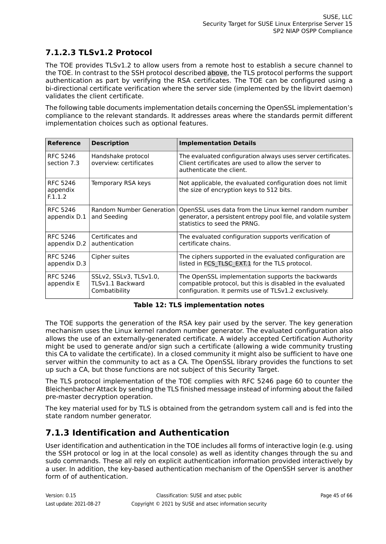## <span id="page-44-0"></span>**7.1.2.3 TLSv1.2 Protocol**

The TOE provides TLSv1.2 to allow users from a remote host to establish a secure channel to the TOE. In contrast to the SSH protocol described [above](#page-41-1), the TLS protocol performs the support authentication as part by verifying the RSA certificates. The TOE can be configured using a bi-directional certificate verification where the server side (implemented by the libvirt daemon) validates the client certificate.

The following table documents implementation details concerning the OpenSSL implementation's compliance to the relevant standards. It addresses areas where the standards permit different implementation choices such as optional features.

<span id="page-44-2"></span>

| <b>Reference</b>                       | <b>Description</b>                                          | <b>Implementation Details</b>                                                                                                                                            |
|----------------------------------------|-------------------------------------------------------------|--------------------------------------------------------------------------------------------------------------------------------------------------------------------------|
| <b>RFC 5246</b><br>section 7.3         | Handshake protocol<br>overview: certificates                | The evaluated configuration always uses server certificates.<br>Client certificates are used to allow the server to<br>authenticate the client.                          |
| <b>RFC 5246</b><br>appendix<br>F.1.1.2 | Temporary RSA keys                                          | Not applicable, the evaluated configuration does not limit<br>the size of encryption keys to 512 bits.                                                                   |
| <b>RFC 5246</b><br>appendix D.1        | Random Number Generation<br>and Seeding                     | OpenSSL uses data from the Linux kernel random number<br>generator, a persistent entropy pool file, and volatile system<br>statistics to seed the PRNG.                  |
| <b>RFC 5246</b><br>appendix D.2        | Certificates and<br>authentication                          | The evaluated configuration supports verification of<br>certificate chains.                                                                                              |
| <b>RFC 5246</b><br>appendix D.3        | Cipher suites                                               | The ciphers supported in the evaluated configuration are<br>listed in FCS TLSC EXT.1 for the TLS protocol.                                                               |
| <b>RFC 5246</b><br>appendix E          | SSLv2, SSLv3, TLSv1.0,<br>TLSv1.1 Backward<br>Combatibility | The OpenSSL implementation supports the backwards<br>compatible protocol, but this is disabled in the evaluated<br>configuration. It permits use of TLSv1.2 exclusively. |

### **Table 12: TLS implementation notes**

The TOE supports the generation of the RSA key pair used by the server. The key generation mechanism uses the Linux kernel random number generator. The evaluated configuration also allows the use of an externally-generated certificate. A widely accepted Certification Authority might be used to generate and/or sign such a certificate (allowing a wide community trusting this CA to validate the certificate). In a closed community it might also be sufficient to have one server within the community to act as a CA. The OpenSSL library provides the functions to set up such a CA, but those functions are not subject of this Security Target.

<span id="page-44-1"></span>The TLS protocol implementation of the TOE complies with RFC 5246 page 60 to counter the Bleichenbacher Attack by sending the TLS finished message instead of informing about the failed pre-master decryption operation.

The key material used for by TLS is obtained from the getrandom system call and is fed into the state random number generator.

## **7.1.3 Identification and Authentication**

User identification and authentication in the TOE includes all forms of interactive login (e.g. using the SSH protocol or log in at the local console) as well as identity changes through the su and sudo commands. These all rely on explicit authentication information provided interactively by a user. In addition, the key-based authentication mechanism of the OpenSSH server is another form of of authentication.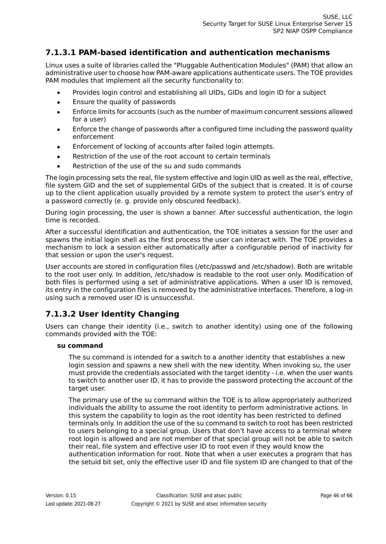## <span id="page-45-0"></span>**7.1.3.1 PAM-based identification and authentication mechanisms**

Linux uses a suite of libraries called the "Pluggable Authentication Modules" (PAM) that allow an administrative user to choose how PAM-aware applications authenticate users. The TOE provides PAM modules that implement all the security functionality to:

- Provides login control and establishing all UIDs, GIDs and login ID for a subject
- Ensure the quality of passwords
- Enforce limits for accounts (such as the number of maximum concurrent sessions allowed for a user)
- Enforce the change of passwords after a configured time including the password quality enforcement
- Enforcement of locking of accounts after failed login attempts.
- Restriction of the use of the root account to certain terminals
- Restriction of the use of the su and sudo commands

The login processing sets the real, file system effective and login UID as well as the real, effective, file system GID and the set of supplemental GIDs of the subject that is created. It is of course up to the client application usually provided by a remote system to protect the user's entry of a password correctly (e. g. provide only obscured feedback).

During login processing, the user is shown a banner. After successful authentication, the login time is recorded.

After a successful identification and authentication, the TOE initiates a session for the user and spawns the initial login shell as the first process the user can interact with. The TOE provides a mechanism to lock a session either automatically after a configurable period of inactivity for that session or upon the user's request.

<span id="page-45-1"></span>User accounts are stored in configuration files (/etc/passwd and /etc/shadow). Both are writable to the root user only. In addition, /etc/shadow is readable to the root user only. Modification of both files is performed using a set of administrative applications. When a user ID is removed, its entry in the configuration files is removed by the administrative interfaces. Therefore, a log-in using such a removed user ID is unsuccessful.

## **7.1.3.2 User Identity Changing**

Users can change their identity (i.e., switch to another identity) using one of the following commands provided with the TOE:

### **su command**

The su command is intended for a switch to a another identity that establishes a new login session and spawns a new shell with the new identity. When invoking su, the user must provide the credentials associated with the target identity - i.e. when the user wants to switch to another user ID, it has to provide the password protecting the account of the target user.

The primary use of the su command within the TOE is to allow appropriately authorized individuals the ability to assume the root identity to perform administrative actions. In this system the capability to login as the root identity has been restricted to defined terminals only. In addition the use of the su command to switch to root has been restricted to users belonging to a special group. Users that don't have access to a terminal where root login is allowed and are not member of that special group will not be able to switch their real, file system and effective user ID to root even if they would know the authentication information for root. Note that when a user executes a program that has the setuid bit set, only the effective user ID and file system ID are changed to that of the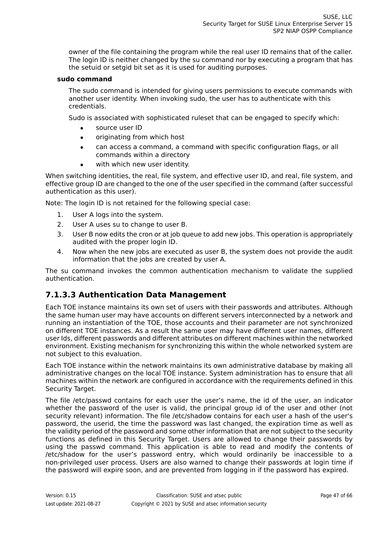owner of the file containing the program while the real user ID remains that of the caller. The login ID is neither changed by the su command nor by executing a program that has the setuid or setgid bit set as it is used for auditing purposes.

#### **sudo command**

The sudo command is intended for giving users permissions to execute commands with another user identity. When invoking sudo, the user has to authenticate with this credentials.

Sudo is associated with sophisticated ruleset that can be engaged to specify which:

- source user ID
- originating from which host
- can access a command, a command with specific configuration flags, or all commands within a directory
- with which new user identity.

When switching identities, the real, file system, and effective user ID, and real, file system, and effective group ID are changed to the one of the user specified in the command (after successful authentication as this user).

Note: The login ID is not retained for the following special case:

- 1. User A logs into the system.
- 2. User A uses su to change to user B.
- 3. User B now edits the cron or at job queue to add new jobs. This operation is appropriately audited with the proper login ID.
- 4. Now when the new jobs are executed as user B, the system does not provide the audit information that the jobs are created by user A.

<span id="page-46-0"></span>The su command invokes the common authentication mechanism to validate the supplied authentication.

### **7.1.3.3 Authentication Data Management**

Each TOE instance maintains its own set of users with their passwords and attributes. Although the same human user may have accounts on different servers interconnected by a network and running an instantiation of the TOE, those accounts and their parameter are not synchronized on different TOE instances. As a result the same user may have different user names, different user Ids, different passwords and different attributes on different machines within the networked environment. Existing mechanism for synchronizing this within the whole networked system are not subject to this evaluation.

Each TOE instance within the network maintains its own administrative database by making all administrative changes on the local TOE instance. System administration has to ensure that all machines within the network are configured in accordance with the requirements defined in this Security Target.

The file /etc/passwd contains for each user the user's name, the id of the user, an indicator whether the password of the user is valid, the principal group id of the user and other (not security relevant) information. The file /etc/shadow contains for each user a hash of the user's password, the userid, the time the password was last changed, the expiration time as well as the validity period of the password and some other information that are not subject to the security functions as defined in this Security Target. Users are allowed to change their passwords by using the passwd command. This application is able to read and modify the contents of /etc/shadow for the user's password entry, which would ordinarily be inaccessible to a non-privileged user process. Users are also warned to change their passwords at login time if the password will expire soon, and are prevented from logging in if the password has expired.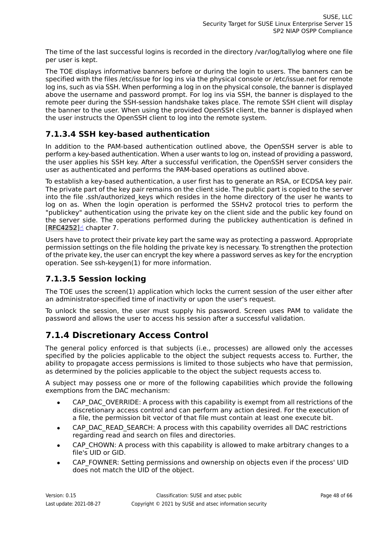The time of the last successful logins is recorded in the directory /var/log/tallylog where one file per user is kept.

The TOE displays informative banners before or during the login to users. The banners can be specified with the files /etc/issue for log ins via the physical console or /etc/issue.net for remote log ins, such as via SSH. When performing a log in on the physical console, the banner is displayed above the username and password prompt. For log ins via SSH, the banner is displayed to the remote peer during the SSH-session handshake takes place. The remote SSH client will display the banner to the user. When using the provided OpenSSH client, the banner is displayed when the user instructs the OpenSSH client to log into the remote system.

## <span id="page-47-0"></span>**7.1.3.4 SSH key-based authentication**

In addition to the PAM-based authentication outlined above, the OpenSSH server is able to perform a key-based authentication. When a user wants to log on, instead of providing a password, the user applies his SSH key. After a successful verification, the OpenSSH server considers the user as authenticated and performs the PAM-based operations as outlined above.

To establish a key-based authentication, a user first has to generate an RSA, or ECDSA key pair. The private part of the key pair remains on the client side. The public part is copied to the server into the file .ssh/authorized keys which resides in the home directory of the user he wants to log on as. When the login operation is performed the SSHv2 protocol tries to perform the "publickey" authentication using the private key on the client side and the public key found on the server side. The operations performed during the publickey authentication is defined in [\[RFC4252\]](#page-65-5) $\triangleq$  chapter 7.

<span id="page-47-1"></span>Users have to protect their private key part the same way as protecting a password. Appropriate permission settings on the file holding the private key is necessary. To strengthen the protection of the private key, the user can encrypt the key where a password serves as key for the encryption operation. See ssh-keygen(1) for more information.

## **7.1.3.5 Session locking**

The TOE uses the screen(1) application which locks the current session of the user either after an administrator-specified time of inactivity or upon the user's request.

<span id="page-47-2"></span>To unlock the session, the user must supply his password. Screen uses PAM to validate the password and allows the user to access his session after a successful validation.

## **7.1.4 Discretionary Access Control**

The general policy enforced is that subjects (i.e., processes) are allowed only the accesses specified by the policies applicable to the object the subject requests access to. Further, the ability to propagate access permissions is limited to those subjects who have that permission, as determined by the policies applicable to the object the subject requests access to.

A subject may possess one or more of the following capabilities which provide the following exemptions from the DAC mechanism:

- CAP\_DAC\_OVERRIDE: A process with this capability is exempt from all restrictions of the discretionary access control and can perform any action desired. For the execution of a file, the permission bit vector of that file must contain at least one execute bit.
- CAP\_DAC\_READ\_SEARCH: A process with this capability overrides all DAC restrictions regarding read and search on files and directories.
- CAP CHOWN: A process with this capability is allowed to make arbitrary changes to a file's UID or GID.
- CAP FOWNER: Setting permissions and ownership on objects even if the process' UID does not match the UID of the object.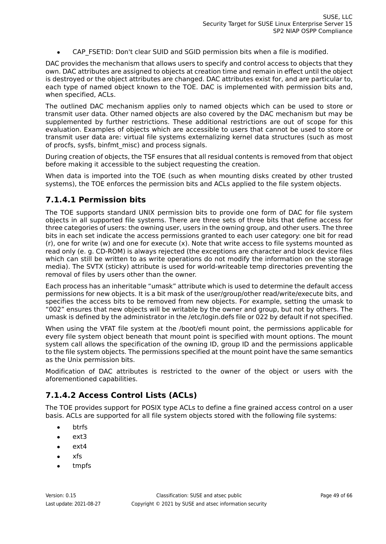CAP\_FSETID: Don't clear SUID and SGID permission bits when a file is modified.

DAC provides the mechanism that allows users to specify and control access to objects that they own. DAC attributes are assigned to objects at creation time and remain in effect until the object is destroyed or the object attributes are changed. DAC attributes exist for, and are particular to, each type of named object known to the TOE. DAC is implemented with permission bits and, when specified, ACLs.

The outlined DAC mechanism applies only to named objects which can be used to store or transmit user data. Other named objects are also covered by the DAC mechanism but may be supplemented by further restrictions. These additional restrictions are out of scope for this evaluation. Examples of objects which are accessible to users that cannot be used to store or transmit user data are: virtual file systems externalizing kernel data structures (such as most of procfs, sysfs, binfmt\_misc) and process signals.

During creation of objects, the TSF ensures that all residual contents is removed from that object before making it accessible to the subject requesting the creation.

<span id="page-48-0"></span>When data is imported into the TOE (such as when mounting disks created by other trusted systems), the TOE enforces the permission bits and ACLs applied to the file system objects.

### **7.1.4.1 Permission bits**

The TOE supports standard UNIX permission bits to provide one form of DAC for file system objects in all supported file systems. There are three sets of three bits that define access for three categories of users: the owning user, users in the owning group, and other users. The three bits in each set indicate the access permissions granted to each user category: one bit for read (r), one for write (w) and one for execute (x). Note that write access to file systems mounted as read only (e. g. CD-ROM) is always rejected (the exceptions are character and block device files which can still be written to as write operations do not modify the information on the storage media). The SVTX (sticky) attribute is used for world-writeable temp directories preventing the removal of files by users other than the owner.

Each process has an inheritable "umask" attribute which is used to determine the default access permissions for new objects. It is a bit mask of the user/group/other read/write/execute bits, and specifies the access bits to be removed from new objects. For example, setting the umask to "002" ensures that new objects will be writable by the owner and group, but not by others. The umask is defined by the administrator in the /etc/login.defs file or 022 by default if not specified.

When using the VFAT file system at the /boot/efi mount point, the permissions applicable for every file system object beneath that mount point is specified with mount options. The mount system call allows the specification of the owning ID, group ID and the permissions applicable to the file system objects. The permissions specified at the mount point have the same semantics as the Unix permission bits.

<span id="page-48-1"></span>Modification of DAC attributes is restricted to the owner of the object or users with the aforementioned capabilities.

## **7.1.4.2 Access Control Lists (ACLs)**

The TOE provides support for POSIX type ACLs to define a fine grained access control on a user basis. ACLs are supported for all file system objects stored with the following file systems:

- **btrfs**
- ext3
- $\bullet$  ext4
- xfs
- tmpfs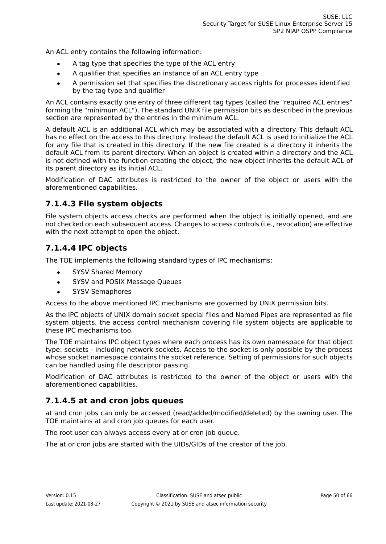An ACL entry contains the following information:

- A tag type that specifies the type of the ACL entry
- A qualifier that specifies an instance of an ACL entry type
- A permission set that specifies the discretionary access rights for processes identified by the tag type and qualifier

An ACL contains exactly one entry of three different tag types (called the "required ACL entries" forming the "minimum ACL"). The standard UNIX file permission bits as described in the previous section are represented by the entries in the minimum ACL.

A default ACL is an additional ACL which may be associated with a directory. This default ACL has no effect on the access to this directory. Instead the default ACL is used to initialize the ACL for any file that is created in this directory. If the new file created is a directory it inherits the default ACL from its parent directory. When an object is created within a directory and the ACL is not defined with the function creating the object, the new object inherits the default ACL of its parent directory as its initial ACL.

<span id="page-49-0"></span>Modification of DAC attributes is restricted to the owner of the object or users with the aforementioned capabilities.

### **7.1.4.3 File system objects**

<span id="page-49-1"></span>File system objects access checks are performed when the object is initially opened, and are not checked on each subsequent access. Changes to access controls (i.e., revocation) are effective with the next attempt to open the object.

## **7.1.4.4 IPC objects**

The TOE implements the following standard types of IPC mechanisms:

- SYSV Shared Memory
- SYSV and POSIX Message Queues
- SYSV Semaphores

Access to the above mentioned IPC mechanisms are governed by UNIX permission bits.

As the IPC objects of UNIX domain socket special files and Named Pipes are represented as file system objects, the access control mechanism covering file system objects are applicable to these IPC mechanisms too.

The TOE maintains IPC object types where each process has its own namespace for that object type: sockets - including network sockets. Access to the socket is only possible by the process whose socket namespace contains the socket reference. Setting of permissions for such objects can be handled using file descriptor passing.

<span id="page-49-2"></span>Modification of DAC attributes is restricted to the owner of the object or users with the aforementioned capabilities.

## **7.1.4.5 at and cron jobs queues**

at and cron jobs can only be accessed (read/added/modified/deleted) by the owning user. The TOE maintains at and cron job queues for each user.

The root user can always access every at or cron job queue.

The at or cron jobs are started with the UIDs/GIDs of the creator of the job.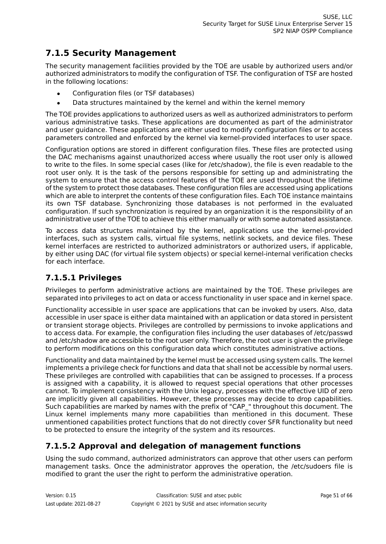## <span id="page-50-0"></span>**7.1.5 Security Management**

The security management facilities provided by the TOE are usable by authorized users and/or authorized administrators to modify the configuration of TSF. The configuration of TSF are hosted in the following locations:

- Configuration files (or TSF databases)
- Data structures maintained by the kernel and within the kernel memory

The TOE provides applications to authorized users as well as authorized administrators to perform various administrative tasks. These applications are documented as part of the administrator and user guidance. These applications are either used to modify configuration files or to access parameters controlled and enforced by the kernel via kernel-provided interfaces to user space.

Configuration options are stored in different configuration files. These files are protected using the DAC mechanisms against unauthorized access where usually the root user only is allowed to write to the files. In some special cases (like for /etc/shadow), the file is even readable to the root user only. It is the task of the persons responsible for setting up and administrating the system to ensure that the access control features of the TOE are used throughout the lifetime of the system to protect those databases. These configuration files are accessed using applications which are able to interpret the contents of these configuration files. Each TOE instance maintains its own TSF database. Synchronizing those databases is not performed in the evaluated configuration. If such synchronization is required by an organization it is the responsibility of an administrative user of the TOE to achieve this either manually or with some automated assistance.

<span id="page-50-1"></span>To access data structures maintained by the kernel, applications use the kernel-provided interfaces, such as system calls, virtual file systems, netlink sockets, and device files. These kernel interfaces are restricted to authorized administrators or authorized users, if applicable, by either using DAC (for virtual file system objects) or special kernel-internal verification checks for each interface.

## **7.1.5.1 Privileges**

Privileges to perform administrative actions are maintained by the TOE. These privileges are separated into privileges to act on data or access functionality in user space and in kernel space.

Functionality accessible in user space are applications that can be invoked by users. Also, data accessible in user space is either data maintained with an application or data stored in persistent or transient storage objects. Privileges are controlled by permissions to invoke applications and to access data. For example, the configuration files including the user databases of /etc/passwd and /etc/shadow are accessible to the root user only. Therefore, the root user is given the privilege to perform modifications on this configuration data which constitutes administrative actions.

<span id="page-50-2"></span>Functionality and data maintained by the kernel must be accessed using system calls. The kernel implements a privilege check for functions and data that shall not be accessible by normal users. These privileges are controlled with capabilities that can be assigned to processes. If a process is assigned with a capability, it is allowed to request special operations that other processes cannot. To implement consistency with the Unix legacy, processes with the effective UID of zero are implicitly given all capabilities. However, these processes may decide to drop capabilities. Such capabilities are marked by names with the prefix of "CAP " throughout this document. The Linux kernel implements many more capabilities than mentioned in this document. These unmentioned capabilities protect functions that do not directly cover SFR functionality but need to be protected to ensure the integrity of the system and its resources.

## **7.1.5.2 Approval and delegation of management functions**

Using the sudo command, authorized administrators can approve that other users can perform management tasks. Once the administrator approves the operation, the /etc/sudoers file is modified to grant the user the right to perform the administrative operation.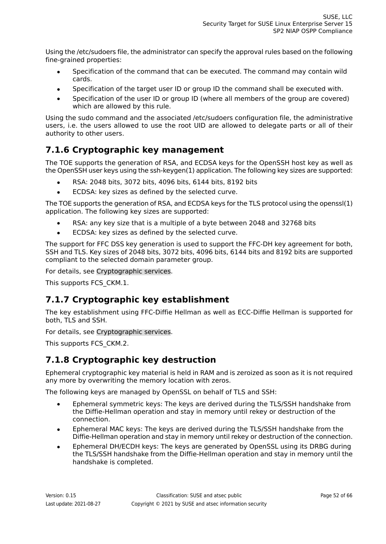Using the /etc/sudoers file, the administrator can specify the approval rules based on the following fine-grained properties:

- Specification of the command that can be executed. The command may contain wild cards.
- Specification of the target user ID or group ID the command shall be executed with.
- Specification of the user ID or group ID (where all members of the group are covered) which are allowed by this rule.

Using the sudo command and the associated /etc/sudoers configuration file, the administrative users, i.e. the users allowed to use the root UID are allowed to delegate parts or all of their authority to other users.

## <span id="page-51-0"></span>**7.1.6 Cryptographic key management**

The TOE supports the generation of RSA, and ECDSA keys for the OpenSSH host key as well as the OpenSSH user keys using the ssh-keygen(1) application. The following key sizes are supported:

- RSA: 2048 bits, 3072 bits, 4096 bits, 6144 bits, 8192 bits
- ECDSA: key sizes as defined by the selected curve.

The TOE supports the generation of RSA, and ECDSA keys for the TLS protocol using the openssl(1) application. The following key sizes are supported:

- RSA: any key size that is a multiple of a byte between 2048 and 32768 bits
- ECDSA: key sizes as defined by the selected curve.

The support for FFC DSS key generation is used to support the FFC-DH key agreement for both, SSH and TLS. Key sizes of 2048 bits, 3072 bits, 4096 bits, 6144 bits and 8192 bits are supported compliant to the selected domain parameter group.

<span id="page-51-1"></span>For details, see [Cryptographic](#page-41-0) services.

This supports FCS\_CKM.1.

## **7.1.7 Cryptographic key establishment**

The key establishment using FFC-Diffie Hellman as well as ECC-Diffie Hellman is supported for both, TLS and SSH.

<span id="page-51-2"></span>For details, see [Cryptographic](#page-41-0) services.

This supports FCS\_CKM.2.

## **7.1.8 Cryptographic key destruction**

Ephemeral cryptographic key material is held in RAM and is zeroized as soon as it is not required any more by overwriting the memory location with zeros.

The following keys are managed by OpenSSL on behalf of TLS and SSH:

- Ephemeral symmetric keys: The keys are derived during the TLS/SSH handshake from the Diffie-Hellman operation and stay in memory until rekey or destruction of the connection.
- Ephemeral MAC keys: The keys are derived during the TLS/SSH handshake from the Diffie-Hellman operation and stay in memory until rekey or destruction of the connection.
- Ephemeral DH/ECDH keys: The keys are generated by OpenSSL using its DRBG during the TLS/SSH handshake from the Diffie-Hellman operation and stay in memory until the handshake is completed.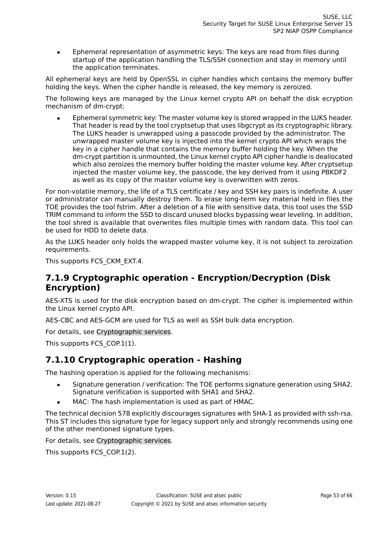Ephemeral representation of asymmetric keys: The keys are read from files during startup of the application handling the TLS/SSH connection and stay in memory until the application terminates.

All ephemeral keys are held by OpenSSL in cipher handles which contains the memory buffer holding the keys. When the cipher handle is released, the key memory is zeroized.

The following keys are managed by the Linux kernel crypto API on behalf the disk ecryption mechanism of dm-crypt:

Ephemeral symmetric key: The master volume key is stored wrapped in the LUKS header. That header is read by the tool cryptsetup that uses libgcrypt as its cryptographic library. The LUKS header is unwrapped using a passcode provided by the administrator. The unwrapped master volume key is injected into the kernel crypto API which wraps the key in a cipher handle that contains the memory buffer holding the key. When the dm-crypt partition is unmounted, the Linux kernel crypto API cipher handle is deallocated which also zeroizes the memory buffer holding the master volume key. After cryptsetup injected the master volume key, the passcode, the key derived from it using PBKDF2 as well as its copy of the master volume key is overwritten with zeros.

For non-volatile memory, the life of a TLS certificate / key and SSH key pairs is indefinite. A user or administrator can manually destroy them. To erase long-term key material held in files the TOE provides the tool fstrim. After a deletion of a file with sensitive data, this tool uses the SSD TRIM command to inform the SSD to discard unused blocks bypassing wear leveling. In addition, the tool shred is available that overwrites files multiple times with random data. This tool can be used for HDD to delete data.

<span id="page-52-0"></span>As the LUKS header only holds the wrapped master volume key, it is not subject to zeroization requirements.

This supports FCS\_CKM\_EXT.4.

## **7.1.9 Cryptographic operation - Encryption/Decryption (Disk Encryption)**

AES-XTS is used for the disk encryption based on dm-crypt. The cipher is implemented within the Linux kernel crypto API.

<span id="page-52-1"></span>AES-CBC and AES-GCM are used for TLS as well as SSH bulk data encryption.

For details, see [Cryptographic](#page-41-0) services.

This supports FCS\_COP.1(1).

## **7.1.10 Cryptographic operation - Hashing**

The hashing operation is applied for the following mechanisms:

- Signature generation / verification: The TOE performs signature generation using SHA2. Signature verification is supported with SHA1 and SHA2.
- MAC: The hash implementation is used as part of HMAC.

The technical decision 578 explicitly discourages signatures with SHA-1 as provided with ssh-rsa. This ST includes this signature type for legacy support only and strongly recommends using one of the other mentioned signature types.

For details, see [Cryptographic](#page-41-0) services.

This supports FCS\_COP.1(2).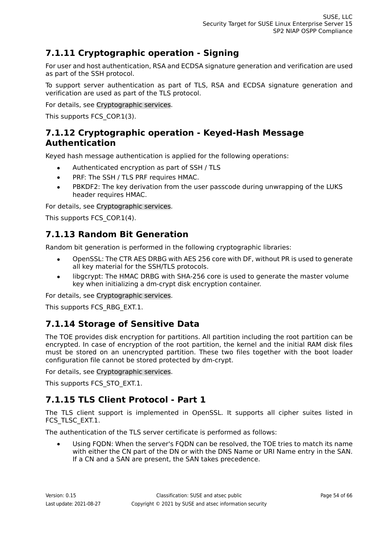## <span id="page-53-0"></span>**7.1.11 Cryptographic operation - Signing**

For user and host authentication, RSA and ECDSA signature generation and verification are used as part of the SSH protocol.

To support server authentication as part of TLS, RSA and ECDSA signature generation and verification are used as part of the TLS protocol.

For details, see [Cryptographic](#page-41-0) services.

<span id="page-53-1"></span>This supports FCS\_COP.1(3).

## **7.1.12 Cryptographic operation - Keyed-Hash Message Authentication**

Keyed hash message authentication is applied for the following operations:

- Authenticated encryption as part of SSH / TLS
- PRF: The SSH / TLS PRF requires HMAC.
- PBKDF2: The key derivation from the user passcode during unwrapping of the LUKS header requires HMAC.

<span id="page-53-2"></span>For details, see [Cryptographic](#page-41-0) services.

This supports FCS\_COP.1(4).

## **7.1.13 Random Bit Generation**

Random bit generation is performed in the following cryptographic libraries:

- OpenSSL: The CTR AES DRBG with AES 256 core with DF, without PR is used to generate all key material for the SSH/TLS protocols.
- libgcrypt: The HMAC DRBG with SHA-256 core is used to generate the master volume key when initializing a dm-crypt disk encryption container.

<span id="page-53-3"></span>For details, see [Cryptographic](#page-41-0) services.

This supports FCS\_RBG\_EXT.1.

## **7.1.14 Storage of Sensitive Data**

The TOE provides disk encryption for partitions. All partition including the root partition can be encrypted. In case of encryption of the root partition, the kernel and the initial RAM disk files must be stored on an unencrypted partition. These two files together with the boot loader configuration file cannot be stored protected by dm-crypt.

<span id="page-53-4"></span>For details, see [Cryptographic](#page-41-0) services.

This supports FCS\_STO\_EXT.1.

## **7.1.15 TLS Client Protocol - Part 1**

The TLS client support is implemented in OpenSSL. It supports all cipher suites listed in FCS TLSC EXT.1.

The authentication of the TLS server certificate is performed as follows:

Using FQDN: When the server's FQDN can be resolved, the TOE tries to match its name with either the CN part of the DN or with the DNS Name or URI Name entry in the SAN. If a CN and a SAN are present, the SAN takes precedence.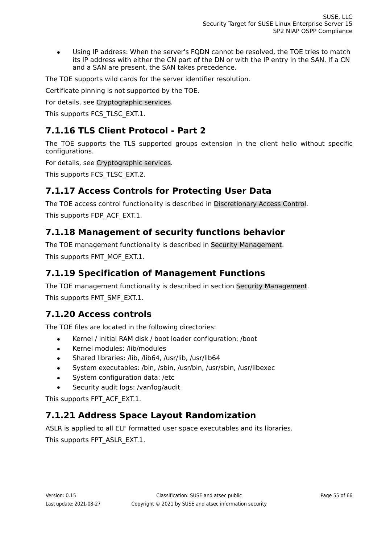Using IP address: When the server's FQDN cannot be resolved, the TOE tries to match its IP address with either the CN part of the DN or with the IP entry in the SAN. If a CN and a SAN are present, the SAN takes precedence.

The TOE supports wild cards for the server identifier resolution.

Certificate pinning is not supported by the TOE.

For details, see [Cryptographic](#page-41-0) services.

<span id="page-54-0"></span>This supports FCS\_TLSC\_EXT.1.

## **7.1.16 TLS Client Protocol - Part 2**

The TOE supports the TLS supported groups extension in the client hello without specific configurations.

For details, see [Cryptographic](#page-41-0) services.

<span id="page-54-1"></span>This supports FCS\_TLSC\_EXT.2.

## **7.1.17 Access Controls for Protecting User Data**

<span id="page-54-2"></span>The TOE access control functionality is described in [Discretionary](#page-47-2) Access Control.

This supports FDP\_ACF\_EXT.1.

## **7.1.18 Management of security functions behavior**

<span id="page-54-3"></span>The TOE management functionality is described in Security [Management.](#page-50-0) This supports FMT\_MOF\_EXT.1.

## **7.1.19 Specification of Management Functions**

<span id="page-54-4"></span>The TOE management functionality is described in section Security [Management.](#page-50-0) This supports FMT\_SMF\_EXT.1.

## **7.1.20 Access controls**

The TOE files are located in the following directories:

- Kernel / initial RAM disk / boot loader configuration: /boot
- Kernel modules: /lib/modules
- Shared libraries: /lib, /lib64, /usr/lib, /usr/lib64
- System executables: /bin, /sbin, /usr/bin, /usr/sbin, /usr/libexec
- <span id="page-54-5"></span>System configuration data: /etc
- Security audit logs: /var/log/audit

This supports FPT ACF EXT.1.

## **7.1.21 Address Space Layout Randomization**

ASLR is applied to all ELF formatted user space executables and its libraries. This supports FPT\_ASLR\_EXT.1.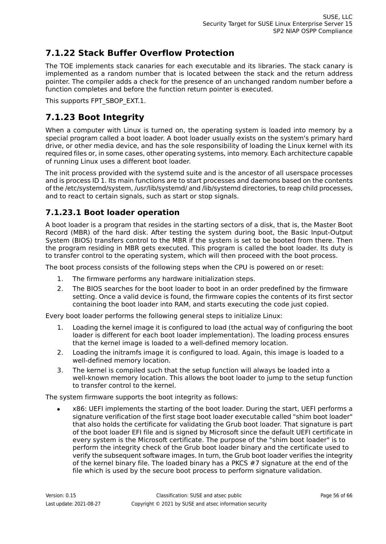## <span id="page-55-0"></span>**7.1.22 Stack Buffer Overflow Protection**

The TOE implements stack canaries for each executable and its libraries. The stack canary is implemented as a random number that is located between the stack and the return address pointer. The compiler adds a check for the presence of an unchanged random number before a function completes and before the function return pointer is executed.

<span id="page-55-1"></span>This supports FPT\_SBOP\_EXT.1.

## **7.1.23 Boot Integrity**

When a computer with Linux is turned on, the operating system is loaded into memory by a special program called a boot loader. A boot loader usually exists on the system's primary hard drive, or other media device, and has the sole responsibility of loading the Linux kernel with its required files or, in some cases, other operating systems, into memory. Each architecture capable of running Linux uses a different boot loader.

<span id="page-55-2"></span>The init process provided with the systemd suite and is the ancestor of all userspace processes and is process ID 1. Its main functions are to start processes and daemons based on the contents of the /etc/systemd/system, /usr/lib/systemd/ and /lib/systemd directories, to reap child processes, and to react to certain signals, such as start or stop signals.

## **7.1.23.1 Boot loader operation**

A boot loader is a program that resides in the starting sectors of a disk, that is, the Master Boot Record (MBR) of the hard disk. After testing the system during boot, the Basic Input-Output System (BIOS) transfers control to the MBR if the system is set to be booted from there. Then the program residing in MBR gets executed. This program is called the boot loader. Its duty is to transfer control to the operating system, which will then proceed with the boot process.

The boot process consists of the following steps when the CPU is powered on or reset:

- 1. The firmware performs any hardware initialization steps.
- 2. The BIOS searches for the boot loader to boot in an order predefined by the firmware setting. Once a valid device is found, the firmware copies the contents of its first sector containing the boot loader into RAM, and starts executing the code just copied.

Every boot loader performs the following general steps to initialize Linux:

- 1. Loading the kernel image it is configured to load (the actual way of configuring the boot loader is different for each boot loader implementation). The loading process ensures that the kernel image is loaded to a well-defined memory location.
- 2. Loading the initramfs image it is configured to load. Again, this image is loaded to a well-defined memory location.
- 3. The kernel is compiled such that the setup function will always be loaded into a well-known memory location. This allows the boot loader to jump to the setup function to transfer control to the kernel.

The system firmware supports the boot integrity as follows:

x86: UEFI implements the starting of the boot loader. During the start, UEFI performs a signature verification of the first stage boot loader executable called "shim boot loader" that also holds the certificate for validating the Grub boot loader. That signature is part of the boot loader EFI file and is signed by Microsoft since the default UEFI certificate in every system is the Microsoft certificate. The purpose of the "shim boot loader" is to perform the integrity check of the Grub boot loader binary and the certificate used to verify the subsequent software images. In turn, the Grub boot loader verifies the integrity of the kernel binary file. The loaded binary has a PKCS #7 signature at the end of the file which is used by the secure boot process to perform signature validation.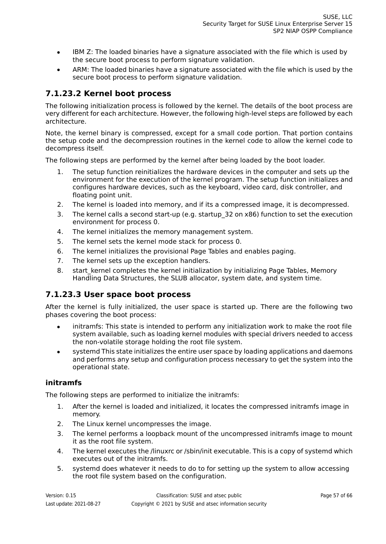- IBM Z: The loaded binaries have a signature associated with the file which is used by the secure boot process to perform signature validation.
- ARM: The loaded binaries have a signature associated with the file which is used by the secure boot process to perform signature validation.

### <span id="page-56-0"></span>**7.1.23.2 Kernel boot process**

The following initialization process is followed by the kernel. The details of the boot process are very different for each architecture. However, the following high-level steps are followed by each architecture.

Note, the kernel binary is compressed, except for a small code portion. That portion contains the setup code and the decompression routines in the kernel code to allow the kernel code to decompress itself.

The following steps are performed by the kernel after being loaded by the boot loader.

- 1. The setup function reinitializes the hardware devices in the computer and sets up the environment for the execution of the kernel program. The setup function initializes and configures hardware devices, such as the keyboard, video card, disk controller, and floating point unit.
- 2. The kernel is loaded into memory, and if its a compressed image, it is decompressed.
- 3. The kernel calls a second start-up (e.g. startup 32 on x86) function to set the execution environment for process 0.
- 4. The kernel initializes the memory management system.
- 5. The kernel sets the kernel mode stack for process 0.
- 6. The kernel initializes the provisional Page Tables and enables paging.
- 7. The kernel sets up the exception handlers.
- <span id="page-56-1"></span>8. start kernel completes the kernel initialization by initializing Page Tables, Memory Handling Data Structures, the SLUB allocator, system date, and system time.

### **7.1.23.3 User space boot process**

After the kernel is fully initialized, the user space is started up. There are the following two phases covering the boot process:

- initramfs: This state is intended to perform any initialization work to make the root file system available, such as loading kernel modules with special drivers needed to access the non-volatile storage holding the root file system.
- systemd This state initializes the entire user space by loading applications and daemons and performs any setup and configuration process necessary to get the system into the operational state.

### **initramfs**

The following steps are performed to initialize the initramfs:

- 1. After the kernel is loaded and initialized, it locates the compressed initramfs image in memory.
- 2. The Linux kernel uncompresses the image.
- 3. The kernel performs a loopback mount of the uncompressed initramfs image to mount it as the root file system.
- 4. The kernel executes the /linuxrc or /sbin/init executable. This is a copy of systemd which executes out of the initramfs.
- 5. systemd does whatever it needs to do to for setting up the system to allow accessing the root file system based on the configuration.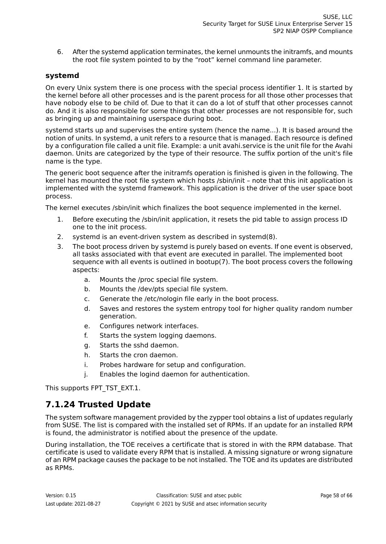6. After the systemd application terminates, the kernel unmounts the initramfs, and mounts the root file system pointed to by the "root" kernel command line parameter.

### **systemd**

On every Unix system there is one process with the special process identifier 1. It is started by the kernel before all other processes and is the parent process for all those other processes that have nobody else to be child of. Due to that it can do a lot of stuff that other processes cannot do. And it is also responsible for some things that other processes are not responsible for, such as bringing up and maintaining userspace during boot.

systemd starts up and supervises the entire system (hence the name...). It is based around the notion of units. In systemd, a unit refers to a resource that is managed. Each resource is defined by a configuration file called a unit file. Example: a unit avahi.service is the unit file for the Avahi daemon. Units are categorized by the type of their resource. The suffix portion of the unit's file name is the type.

The generic boot sequence after the initramfs operation is finished is given in the following. The kernel has mounted the root file system which hosts /sbin/init – note that this init application is implemented with the systemd framework. This application is the driver of the user space boot process.

The kernel executes /sbin/init which finalizes the boot sequence implemented in the kernel.

- 1. Before executing the /sbin/init application, it resets the pid table to assign process ID one to the init process.
- 2. systemd is an event-driven system as described in systemd(8).
- 3. The boot process driven by systemd is purely based on events. If one event is observed, all tasks associated with that event are executed in parallel. The implemented boot sequence with all events is outlined in bootup(7). The boot process covers the following aspects:
	- a. Mounts the /proc special file system.
	- b. Mounts the /dev/pts special file system.
	- c. Generate the /etc/nologin file early in the boot process.
	- d. Saves and restores the system entropy tool for higher quality random number generation.
	- e. Configures network interfaces.
	- f. Starts the system logging daemons.
	- g. Starts the sshd daemon.
	- h. Starts the cron daemon.
	- i. Probes hardware for setup and configuration.
	- j. Enables the logind daemon for authentication.

<span id="page-57-0"></span>This supports FPT\_TST\_EXT.1.

### **7.1.24 Trusted Update**

The system software management provided by the zypper tool obtains a list of updates regularly from SUSE. The list is compared with the installed set of RPMs. If an update for an installed RPM is found, the administrator is notified about the presence of the update.

During installation, the TOE receives a certificate that is stored in with the RPM database. That certificate is used to validate every RPM that is installed. A missing signature or wrong signature of an RPM package causes the package to be not installed. The TOE and its updates are distributed as RPMs.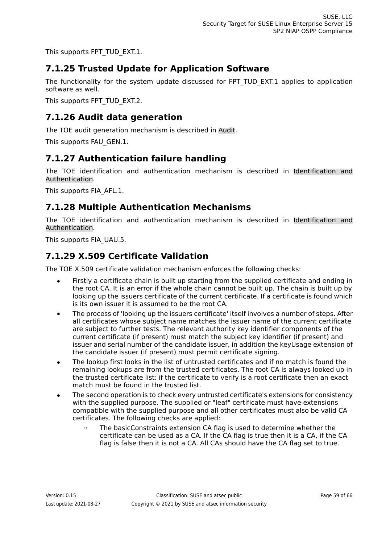This supports FPT\_TUD\_EXT.1.

## <span id="page-58-0"></span>**7.1.25 Trusted Update for Application Software**

The functionality for the system update discussed for FPT TUD EXT.1 applies to application software as well.

<span id="page-58-1"></span>This supports FPT\_TUD\_EXT.2.

## **7.1.26 Audit data generation**

The TOE audit generation mechanism is described in [Audit.](#page-39-2)

<span id="page-58-2"></span>This supports FAU\_GEN.1.

## **7.1.27 Authentication failure handling**

The TOE identification and authentication mechanism is described in [Identification](#page-39-2) and [Authentication.](#page-39-2)

<span id="page-58-3"></span>This supports FIA\_AFL.1.

## **7.1.28 Multiple Authentication Mechanisms**

The TOE identification and authentication mechanism is described in [Identification](#page-39-2) and [Authentication.](#page-39-2)

<span id="page-58-4"></span>This supports FIA\_UAU.5.

## **7.1.29 X.509 Certificate Validation**

The TOE X.509 certificate validation mechanism enforces the following checks:

- Firstly a certificate chain is built up starting from the supplied certificate and ending in the root CA. It is an error if the whole chain cannot be built up. The chain is built up by looking up the issuers certificate of the current certificate. If a certificate is found which is its own issuer it is assumed to be the root CA.
- The process of 'looking up the issuers certificate' itself involves a number of steps. After all certificates whose subject name matches the issuer name of the current certificate are subject to further tests. The relevant authority key identifier components of the current certificate (if present) must match the subject key identifier (if present) and issuer and serial number of the candidate issuer, in addition the keyUsage extension of the candidate issuer (if present) must permit certificate signing.
- The lookup first looks in the list of untrusted certificates and if no match is found the remaining lookups are from the trusted certificates. The root CA is always looked up in the trusted certificate list: if the certificate to verify is a root certificate then an exact match must be found in the trusted list.
- The second operation is to check every untrusted certificate's extensions for consistency with the supplied purpose. The supplied or "leaf" certificate must have extensions compatible with the supplied purpose and all other certificates must also be valid CA certificates. The following checks are applied:
	- The basicConstraints extension CA flag is used to determine whether the certificate can be used as a CA. If the CA flag is true then it is a CA, if the CA flag is false then it is not a CA. All CAs should have the CA flag set to true.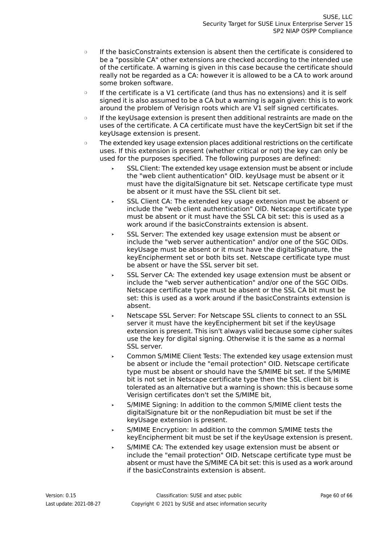- $\circ$  If the basicConstraints extension is absent then the certificate is considered to be a "possible CA" other extensions are checked according to the intended use of the certificate. A warning is given in this case because the certificate should really not be regarded as a CA: however it is allowed to be a CA to work around some broken software.
- $\circ$  If the certificate is a V1 certificate (and thus has no extensions) and it is self signed it is also assumed to be a CA but a warning is again given: this is to work around the problem of Verisign roots which are V1 self signed certificates.
- $\circ$  If the keyUsage extension is present then additional restraints are made on the uses of the certificate. A CA certificate must have the keyCertSign bit set if the keyUsage extension is present.
- $\circ$  The extended key usage extension places additional restrictions on the certificate uses. If this extension is present (whether critical or not) the key can only be used for the purposes specified. The following purposes are defined:
	- SSL Client: The extended key usage extension must be absent or include the "web client authentication" OID. keyUsage must be absent or it must have the digitalSignature bit set. Netscape certificate type must be absent or it must have the SSL client bit set.
	- SSL Client CA: The extended key usage extension must be absent or include the "web client authentication" OID. Netscape certificate type must be absent or it must have the SSL CA bit set: this is used as a work around if the basicConstraints extension is absent.
	- SSL Server: The extended key usage extension must be absent or include the "web server authentication" and/or one of the SGC OIDs. keyUsage must be absent or it must have the digitalSignature, the keyEncipherment set or both bits set. Netscape certificate type must be absent or have the SSL server bit set.
	- SSL Server CA: The extended key usage extension must be absent or include the "web server authentication" and/or one of the SGC OIDs. Netscape certificate type must be absent or the SSL CA bit must be set: this is used as a work around if the basicConstraints extension is absent.
	- Netscape SSL Server: For Netscape SSL clients to connect to an SSL server it must have the keyEncipherment bit set if the keyUsage extension is present. This isn't always valid because some cipher suites use the key for digital signing. Otherwise it is the same as a normal SSL server.
	- ➤ Common S/MIME Client Tests: The extended key usage extension must be absent or include the "email protection" OID. Netscape certificate type must be absent or should have the S/MIME bit set. If the S/MIME bit is not set in Netscape certificate type then the SSL client bit is tolerated as an alternative but a warning is shown: this is because some Verisign certificates don't set the S/MIME bit,
	- S/MIME Signing: In addition to the common S/MIME client tests the digitalSignature bit or the nonRepudiation bit must be set if the keyUsage extension is present.
	- S/MIME Encryption: In addition to the common S/MIME tests the keyEncipherment bit must be set if the keyUsage extension is present.
	- S/MIME CA: The extended key usage extension must be absent or include the "email protection" OID. Netscape certificate type must be absent or must have the S/MIME CA bit set: this is used as a work around if the basicConstraints extension is absent.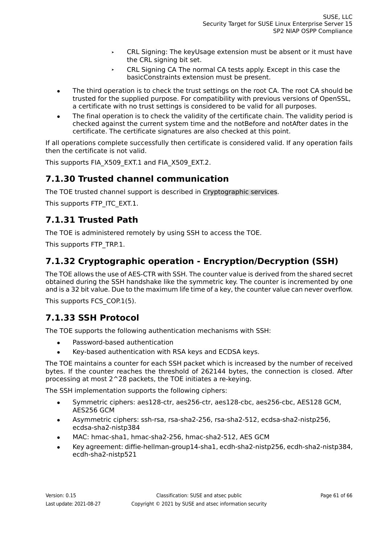- ➤ CRL Signing: The keyUsage extension must be absent or it must have the CRL signing bit set.
- ➤ CRL Signing CA The normal CA tests apply. Except in this case the basicConstraints extension must be present.
- The third operation is to check the trust settings on the root CA. The root CA should be trusted for the supplied purpose. For compatibility with previous versions of OpenSSL, a certificate with no trust settings is considered to be valid for all purposes.
- The final operation is to check the validity of the certificate chain. The validity period is checked against the current system time and the notBefore and notAfter dates in the certificate. The certificate signatures are also checked at this point.

If all operations complete successfully then certificate is considered valid. If any operation fails then the certificate is not valid.

<span id="page-60-0"></span>This supports FIA X509 EXT.1 and FIA X509 EXT.2.

## **7.1.30 Trusted channel communication**

The TOE trusted channel support is described in [Cryptographic](#page-41-0) services.

<span id="page-60-1"></span>This supports FTP\_ITC\_EXT.1.

## **7.1.31 Trusted Path**

<span id="page-60-2"></span>The TOE is administered remotely by using SSH to access the TOE.

This supports FTP\_TRP.1.

## **7.1.32 Cryptographic operation - Encryption/Decryption (SSH)**

<span id="page-60-3"></span>The TOE allows the use of AES-CTR with SSH. The counter value is derived from the shared secret obtained during the SSH handshake like the symmetric key. The counter is incremented by one and is a 32 bit value. Due to the maximum life time of a key, the counter value can never overflow.

This supports FCS\_COP.1(5).

## **7.1.33 SSH Protocol**

The TOE supports the following authentication mechanisms with SSH:

- Password-based authentication
- Key-based authentication with RSA keys and ECDSA keys.

The TOE maintains a counter for each SSH packet which is increased by the number of received bytes. If the counter reaches the threshold of 262144 bytes, the connection is closed. After processing at most 2^28 packets, the TOE initiates a re-keying.

The SSH implementation supports the following ciphers:

- Symmetric ciphers: aes128-ctr, aes256-ctr, aes128-cbc, aes256-cbc, AES128 GCM, AES256 GCM
- Asymmetric ciphers: ssh-rsa, rsa-sha2-256, rsa-sha2-512, ecdsa-sha2-nistp256, ecdsa-sha2-nistp384
- MAC: hmac-sha1, hmac-sha2-256, hmac-sha2-512, AES GCM
- Key agreement: diffie-hellman-group14-sha1, ecdh-sha2-nistp256, ecdh-sha2-nistp384, ecdh-sha2-nistp521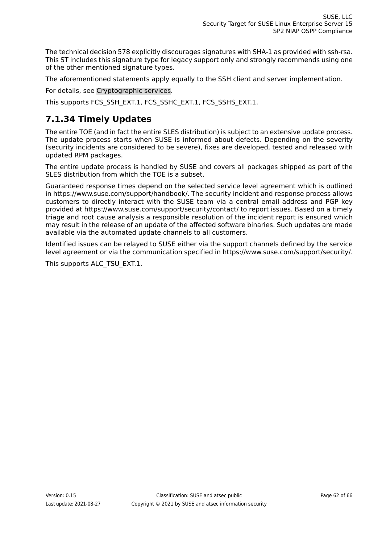The technical decision 578 explicitly discourages signatures with SHA-1 as provided with ssh-rsa. This ST includes this signature type for legacy support only and strongly recommends using one of the other mentioned signature types.

The aforementioned statements apply equally to the SSH client and server implementation.

For details, see [Cryptographic](#page-41-0) services.

<span id="page-61-0"></span>This supports FCS\_SSH\_EXT.1, FCS\_SSHC\_EXT.1, FCS\_SSHS\_EXT.1.

## **7.1.34 Timely Updates**

The entire TOE (and in fact the entire SLES distribution) is subject to an extensive update process. The update process starts when SUSE is informed about defects. Depending on the severity (security incidents are considered to be severe), fixes are developed, tested and released with updated RPM packages.

The entire update process is handled by SUSE and covers all packages shipped as part of the SLES distribution from which the TOE is a subset.

Guaranteed response times depend on the selected service level agreement which is outlined in https://www.suse.com/support/handbook/. The security incident and response process allows customers to directly interact with the SUSE team via a central email address and PGP key provided at https://www.suse.com/support/security/contact/ to report issues. Based on a timely triage and root cause analysis a responsible resolution of the incident report is ensured which may result in the release of an update of the affected software binaries. Such updates are made available via the automated update channels to all customers.

Identified issues can be relayed to SUSE either via the support channels defined by the service level agreement or via the communication specified in https://www.suse.com/support/security/.

This supports ALC\_TSU\_EXT.1.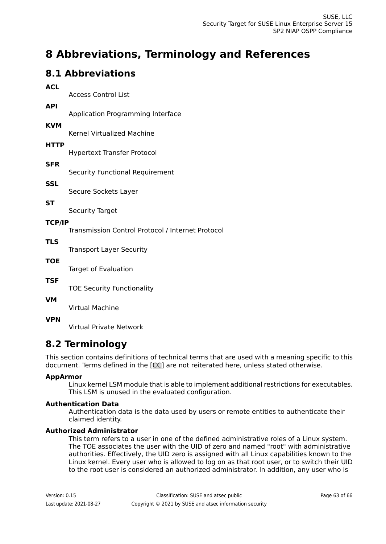# <span id="page-62-0"></span>**8 Abbreviations, Terminology and References**

## <span id="page-62-1"></span>**8.1 Abbreviations**

| <b>ACL</b>    | <b>Access Control List</b>                        |
|---------------|---------------------------------------------------|
| <b>API</b>    | Application Programming Interface                 |
| <b>KVM</b>    | Kernel Virtualized Machine                        |
| <b>HTTP</b>   | <b>Hypertext Transfer Protocol</b>                |
| <b>SFR</b>    | Security Functional Requirement                   |
| <b>SSL</b>    |                                                   |
| <b>ST</b>     | Secure Sockets Layer                              |
| <b>TCP/IP</b> | Security Target                                   |
| <b>TLS</b>    | Transmission Control Protocol / Internet Protocol |
| <b>TOE</b>    | <b>Transport Layer Security</b>                   |
| TSF           | Target of Evaluation                              |
| VM            | <b>TOE Security Functionality</b>                 |
|               | <b>Virtual Machine</b>                            |

### <span id="page-62-2"></span>**VPN**

Virtual Private Network

## **8.2 Terminology**

This section contains definitions of technical terms that are used with a meaning specific to this document. Terms defined in the [\[CC\]](#page-65-3) are not reiterated here, unless stated otherwise.

### **AppArmor**

Linux kernel LSM module that is able to implement additional restrictions for executables. This LSM is unused in the evaluated configuration.

### **Authentication Data**

Authentication data is the data used by users or remote entities to authenticate their claimed identity.

### **Authorized Administrator**

This term refers to a user in one of the defined administrative roles of a Linux system. The TOE associates the user with the UID of zero and named "root" with administrative authorities. Effectively, the UID zero is assigned with all Linux capabilities known to the Linux kernel. Every user who is allowed to log on as that root user, or to switch their UID to the root user is considered an authorized administrator. In addition, any user who is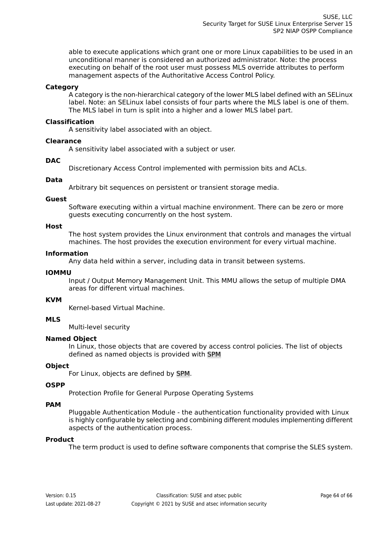able to execute applications which grant one or more Linux capabilities to be used in an unconditional manner is considered an authorized administrator. Note: the process executing on behalf of the root user must possess MLS override attributes to perform management aspects of the Authoritative Access Control Policy.

### **Category**

A category is the non-hierarchical category of the lower MLS label defined with an SELinux label. Note: an SELinux label consists of four parts where the MLS label is one of them. The MLS label in turn is split into a higher and a lower MLS label part.

#### **Classification**

A sensitivity label associated with an object.

#### **Clearance**

A sensitivity label associated with a subject or user.

#### **DAC**

Discretionary Access Control implemented with permission bits and ACLs.

# **Data**

Arbitrary bit sequences on persistent or transient storage media. **Guest**

Software executing within a virtual machine environment. There can be zero or more guests executing concurrently on the host system.

#### **Host**

The host system provides the Linux environment that controls and manages the virtual machines. The host provides the execution environment for every virtual machine.

#### **Information**

Any data held within a server, including data in transit between systems.

#### **IOMMU**

Input / Output Memory Management Unit. This MMU allows the setup of multiple DMA areas for different virtual machines.

### **KVM**

Kernel-based Virtual Machine.

#### **MLS**

Multi-level security

#### **Named Object**

In Linux, those objects that are covered by access control policies. The list of objects defined as named objects is provided with [SPM](#page-13-1)

#### **Object**

For Linux, objects are defined by [SPM](#page-13-1).

#### **OSPP**

Protection Profile for General Purpose Operating Systems

### **PAM**

Pluggable Authentication Module - the authentication functionality provided with Linux is highly configurable by selecting and combining different modules implementing different aspects of the authentication process.

#### **Product**

The term product is used to define software components that comprise the SLES system.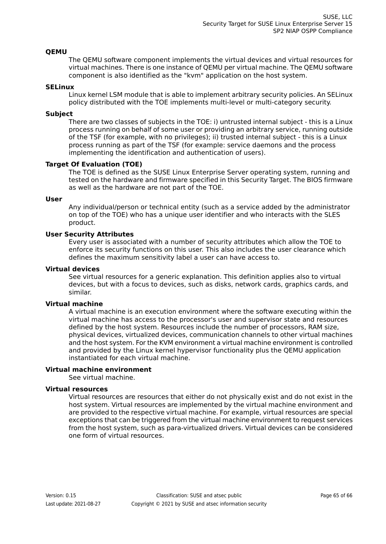### **QEMU**

The QEMU software component implements the virtual devices and virtual resources for virtual machines. There is one instance of QEMU per virtual machine. The QEMU software component is also identified as the "kvm" application on the host system.

#### **SELinux**

Linux kernel LSM module that is able to implement arbitrary security policies. An SELinux policy distributed with the TOE implements multi-level or multi-category security.

#### **Subject**

There are two classes of subjects in the TOE: i) untrusted internal subject - this is a Linux process running on behalf of some user or providing an arbitrary service, running outside of the TSF (for example, with no privileges); ii) trusted internal subject - this is a Linux process running as part of the TSF (for example: service daemons and the process implementing the identification and authentication of users).

### **Target Of Evaluation (TOE)**

The TOE is defined as the SUSE Linux Enterprise Server operating system, running and tested on the hardware and firmware specified in this Security Target. The BIOS firmware as well as the hardware are not part of the TOE.

#### **User**

Any individual/person or technical entity (such as a service added by the administrator on top of the TOE) who has a unique user identifier and who interacts with the SLES product.

#### **User Security Attributes**

Every user is associated with a number of security attributes which allow the TOE to enforce its security functions on this user. This also includes the user clearance which defines the maximum sensitivity label a user can have access to.

#### **Virtual devices**

See virtual resources for a generic explanation. This definition applies also to virtual devices, but with a focus to devices, such as disks, network cards, graphics cards, and similar.

#### **Virtual machine**

A virtual machine is an execution environment where the software executing within the virtual machine has access to the processor's user and supervisor state and resources defined by the host system. Resources include the number of processors, RAM size, physical devices, virtualized devices, communication channels to other virtual machines and the host system. For the KVM environment a virtual machine environment is controlled and provided by the Linux kernel hypervisor functionality plus the QEMU application instantiated for each virtual machine.

#### **Virtual machine environment**

See virtual machine.

#### **Virtual resources**

Virtual resources are resources that either do not physically exist and do not exist in the host system. Virtual resources are implemented by the virtual machine environment and are provided to the respective virtual machine. For example, virtual resources are special exceptions that can be triggered from the virtual machine environment to request services from the host system, such as para-virtualized drivers. Virtual devices can be considered one form of virtual resources.